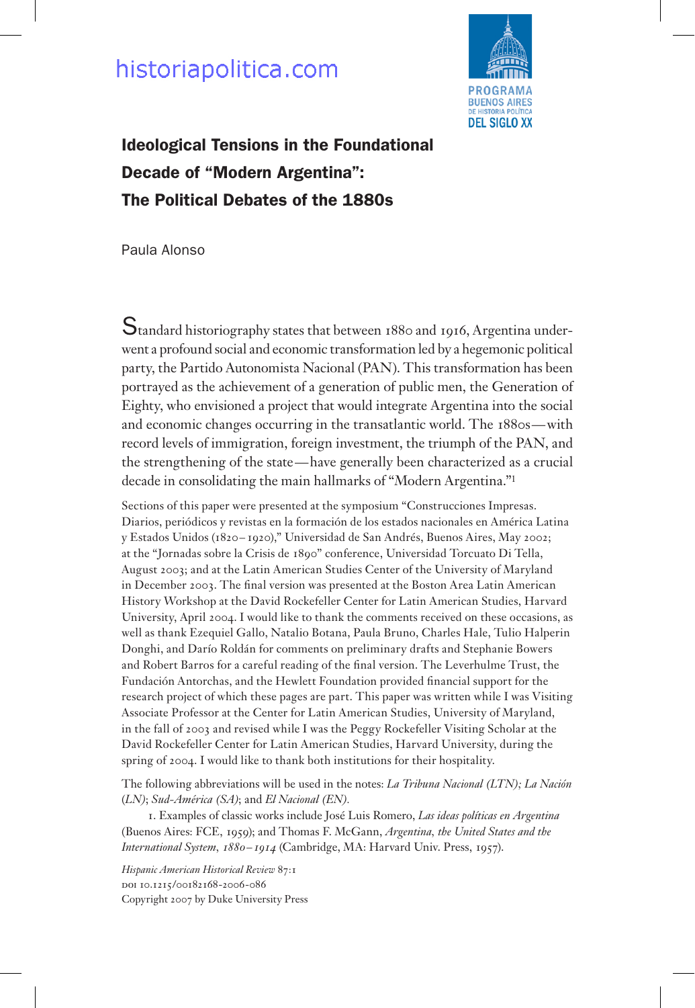# historiapolitica.com



# Ideological Tensions in the Foundational Decade of "Modern Argentina": The Political Debates of the 1880s

Paula Alonso

 $\mathbf S$ tandard historiography states that between 1880 and 1916, Argentina underwent a profound social and economic transformation led by a hegemonic political party, the Partido Autonomista Nacional (PAN). This transformation has been portrayed as the achievement of a generation of public men, the Generation of Eighty, who envisioned a project that would integrate Argentina into the social and economic changes occurring in the transatlantic world. The 1880s—with record levels of immigration, foreign investment, the triumph of the PAN, and the strengthening of the state—have generally been characterized as a crucial decade in consolidating the main hallmarks of "Modern Argentina."1

Sections of this paper were presented at the symposium "Construcciones Impresas. Diarios, periódicos y revistas en la formación de los estados nacionales en América Latina y Estados Unidos (1820–1920)," Universidad de San Andrés, Buenos Aires, May 2002; at the "Jornadas sobre la Crisis de 1890" conference, Universidad Torcuato Di Tella, August 2003; and at the Latin American Studies Center of the University of Maryland in December 2003. The final version was presented at the Boston Area Latin American History Workshop at the David Rockefeller Center for Latin American Studies, Harvard University, April 2004. I would like to thank the comments received on these occasions, as well as thank Ezequiel Gallo, Natalio Botana, Paula Bruno, Charles Hale, Tulio Halperin Donghi, and Darío Roldán for comments on preliminary drafts and Stephanie Bowers and Robert Barros for a careful reading of the final version. The Leverhulme Trust, the Fundación Antorchas, and the Hewlett Foundation provided financial support for the research project of which these pages are part. This paper was written while I was Visiting Associate Professor at the Center for Latin American Studies, University of Maryland, in the fall of 2003 and revised while I was the Peggy Rockefeller Visiting Scholar at the David Rockefeller Center for Latin American Studies, Harvard University, during the spring of 2004. I would like to thank both institutions for their hospitality.

The following abbreviations will be used in the notes: *La Tribuna Nacional (LTN); La Nación*  (*LN)*; *Sud-América (SA)*; and *El Nacional (EN).*

1. Examples of classic works include José Luis Romero, *Las ideas políticas en Argentina* (Buenos Aires: FCE, 1959); and Thomas F. McGann, *Argentina, the United States and the International System, 1880–1914* (Cambridge, MA: Harvard Univ. Press, 1957).

*Hispanic American Historical Review* 87:1 DOI 10.1215/00182168-2006-086 Copyright 2007 by Duke University Press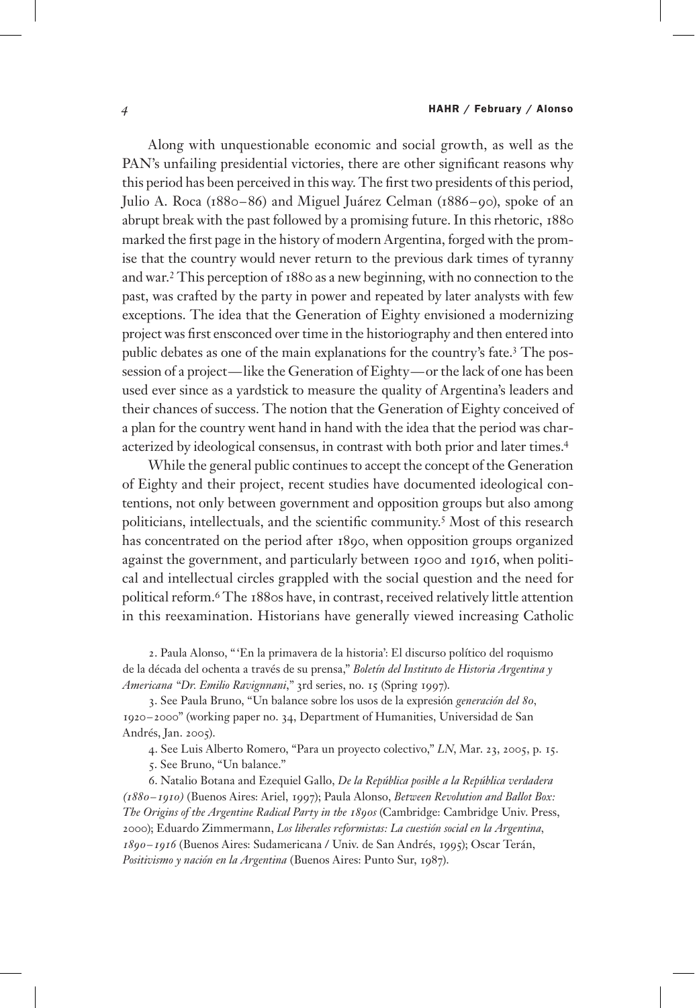Along with unquestionable economic and social growth, as well as the PAN's unfailing presidential victories, there are other significant reasons why this period has been perceived in this way. The first two presidents of this period, Julio A. Roca (1880–86) and Miguel Juárez Celman (1886–90), spoke of an abrupt break with the past followed by a promising future. In this rhetoric, 1880 marked the first page in the history of modern Argentina, forged with the promise that the country would never return to the previous dark times of tyranny and war.2 This perception of 1880 as a new beginning, with no connection to the past, was crafted by the party in power and repeated by later analysts with few exceptions. The idea that the Generation of Eighty envisioned a modernizing project was first ensconced over time in the historiography and then entered into public debates as one of the main explanations for the country's fate.3 The possession of a project—like the Generation of Eighty—or the lack of one has been used ever since as a yardstick to measure the quality of Argentina's leaders and their chances of success. The notion that the Generation of Eighty conceived of a plan for the country went hand in hand with the idea that the period was characterized by ideological consensus, in contrast with both prior and later times.4

While the general public continues to accept the concept of the Generation of Eighty and their project, recent studies have documented ideological contentions, not only between government and opposition groups but also among politicians, intellectuals, and the scientific community.5 Most of this research has concentrated on the period after 1890, when opposition groups organized against the government, and particularly between 1900 and 1916, when political and intellectual circles grappled with the social question and the need for political reform.6 The 1880s have, in contrast, received relatively little attention in this reexamination. Historians have generally viewed increasing Catholic

2. Paula Alonso, "'En la primavera de la historia': El discurso político del roquismo de la década del ochenta a través de su prensa," *Boletín del Instituto de Historia Argentina y Americana "Dr. Emilio Ravignnani*,*"* 3rd series, no. 15 (Spring 1997).

3. See Paula Bruno, "Un balance sobre los usos de la expresión *generación del 80,*  1920–2000" (working paper no. 34, Department of Humanities, Universidad de San Andrés, Jan. 2005).

4. See Luis Alberto Romero, "Para un proyecto colectivo," *LN*, Mar. 23, 2005, p. 15.

5. See Bruno, "Un balance."

6. Natalio Botana and Ezequiel Gallo, *De la República posible a la República verdadera (1880–1910)* (Buenos Aires: Ariel, 1997); Paula Alonso, *Between Revolution and Ballot Box: The Origins of the Argentine Radical Party in the 1890s* (Cambridge: Cambridge Univ. Press, 2000); Eduardo Zimmermann, *Los liberales reformistas: La cuestión social en la Argentina, 1890–1916* (Buenos Aires: Sudamericana / Univ. de San Andrés, 1995); Oscar Terán, *Positivismo y nación en la Argentina* (Buenos Aires: Punto Sur, 1987).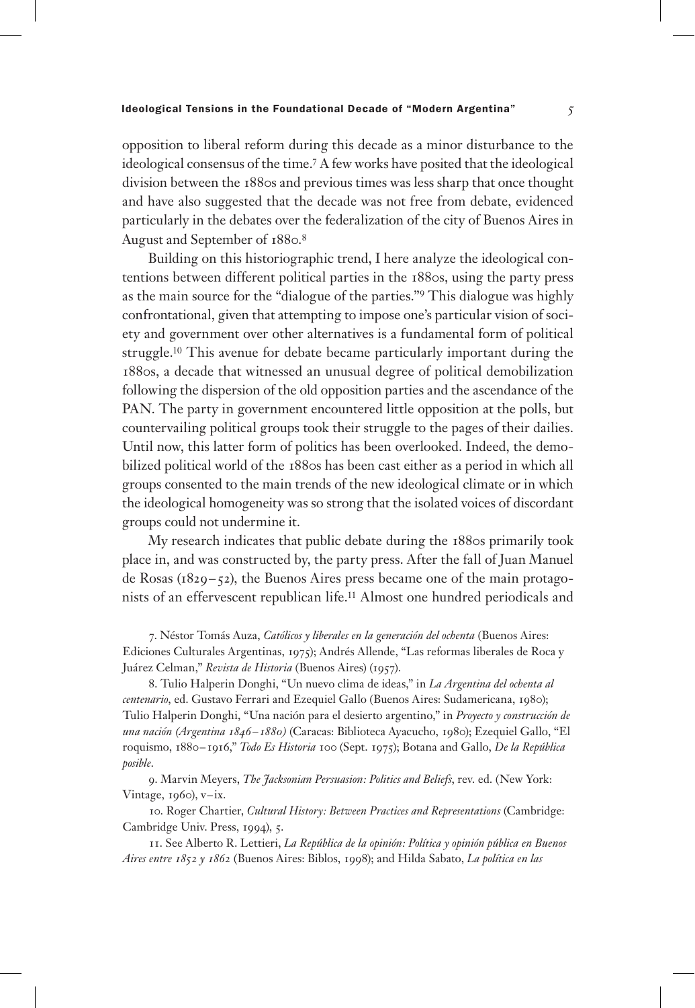opposition to liberal reform during this decade as a minor disturbance to the ideological consensus of the time.7 A few works have posited that the ideological division between the 1880s and previous times was less sharp that once thought and have also suggested that the decade was not free from debate, evidenced particularly in the debates over the federalization of the city of Buenos Aires in August and September of 1880.8

Building on this historiographic trend, I here analyze the ideological contentions between different political parties in the 1880s, using the party press as the main source for the "dialogue of the parties."9 This dialogue was highly confrontational, given that attempting to impose one's particular vision of society and government over other alternatives is a fundamental form of political struggle.10 This avenue for debate became particularly important during the 1880s, a decade that witnessed an unusual degree of political demobilization following the dispersion of the old opposition parties and the ascendance of the PAN. The party in government encountered little opposition at the polls, but countervailing political groups took their struggle to the pages of their dailies. Until now, this latter form of politics has been overlooked. Indeed, the demobilized political world of the 1880s has been cast either as a period in which all groups consented to the main trends of the new ideological climate or in which the ideological homogeneity was so strong that the isolated voices of discordant groups could not undermine it.

My research indicates that public debate during the 1880s primarily took place in, and was constructed by, the party press. After the fall of Juan Manuel de Rosas (1829–52), the Buenos Aires press became one of the main protagonists of an effervescent republican life.11 Almost one hundred periodicals and

7. Néstor Tomás Auza, *Católicos y liberales en la generación del ochenta* (Buenos Aires: Ediciones Culturales Argentinas, 1975); Andrés Allende, "Las reformas liberales de Roca y Juárez Celman," *Revista de Historia* (Buenos Aires) (1957).

8. Tulio Halperin Donghi, "Un nuevo clima de ideas," in *La Argentina del ochenta al centenario*, ed. Gustavo Ferrari and Ezequiel Gallo (Buenos Aires: Sudamericana, 1980); Tulio Halperin Donghi, "Una nación para el desierto argentino," in *Proyecto y construcción de una nación (Argentina 1846–1880)* (Caracas: Biblioteca Ayacucho, 1980); Ezequiel Gallo, "El roquismo, 1880–1916," *Todo Es Historia* 100 (Sept. 1975); Botana and Gallo, *De la República posible*.

9. Marvin Meyers, *The Jacksonian Persuasion: Politics and Beliefs*, rev. ed. (New York: Vintage, 1960), v–ix.

10. Roger Chartier, *Cultural History: Between Practices and Representations* (Cambridge: Cambridge Univ. Press, 1994), 5.

11. See Alberto R. Lettieri, *La República de la opinión: Política y opinión pública en Buenos Aires entre 1852 y 1862* (Buenos Aires: Biblos, 1998); and Hilda Sabato, *La política en las*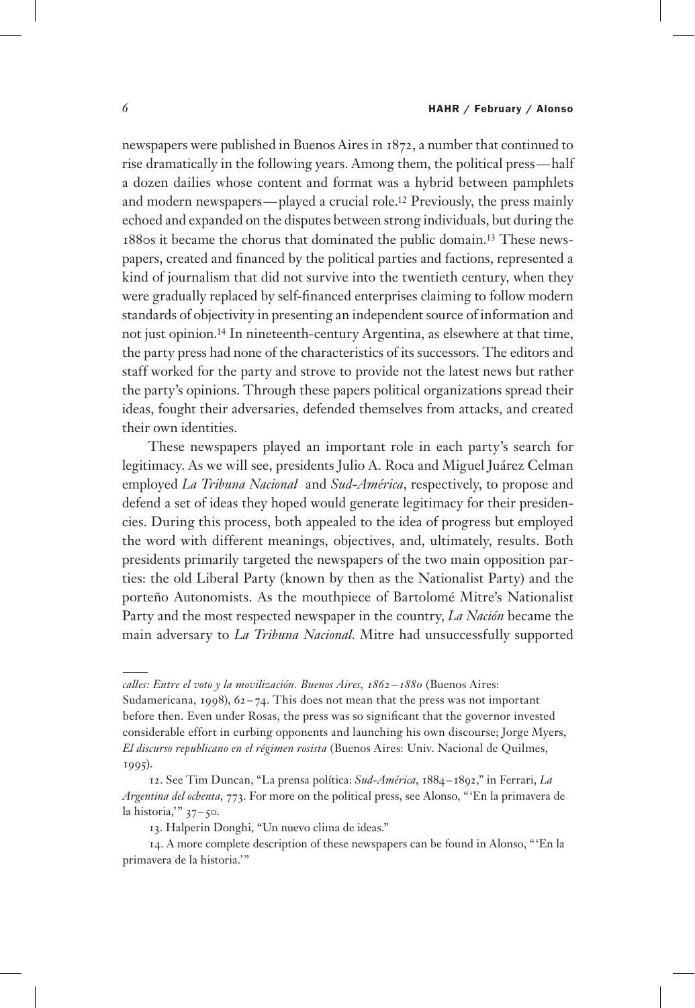newspapers were published in Buenos Aires in 1872, a number that continued to rise dramatically in the following years. Among them, the political press—half a dozen dailies whose content and format was a hybrid between pamphlets and modern newspapers—played a crucial role.12 Previously, the press mainly echoed and expanded on the disputes between strong individuals, but during the 1880s it became the chorus that dominated the public domain.13 These newspapers, created and financed by the political parties and factions, represented a kind of journalism that did not survive into the twentieth century, when they were gradually replaced by self-financed enterprises claiming to follow modern standards of objectivity in presenting an independent source of information and not just opinion.14 In nineteenth-century Argentina, as elsewhere at that time, the party press had none of the characteristics of its successors. The editors and staff worked for the party and strove to provide not the latest news but rather the party's opinions. Through these papers political organizations spread their ideas, fought their adversaries, defended themselves from attacks, and created their own identities.

These newspapers played an important role in each party's search for legitimacy. As we will see, presidents Julio A. Roca and Miguel Juárez Celman employed *La Tribuna Nacional* and *Sud-América*, respectively, to propose and defend a set of ideas they hoped would generate legitimacy for their presidencies. During this process, both appealed to the idea of progress but employed the word with different meanings, objectives, and, ultimately, results. Both presidents primarily targeted the newspapers of the two main opposition parties: the old Liberal Party (known by then as the Nationalist Party) and the porteño Autonomists. As the mouthpiece of Bartolomé Mitre's Nationalist Party and the most respected newspaper in the country, *La Nación* became the main adversary to *La Tribuna Nacional*. Mitre had unsuccessfully supported

*calles: Entre el voto y la movilización. Buenos Aires, 1862 –1880* (Buenos Aires:

13. Halperin Donghi, "Un nuevo clima de ideas."

Sudamericana, 1998),  $62-74$ . This does not mean that the press was not important before then. Even under Rosas, the press was so significant that the governor invested considerable effort in curbing opponents and launching his own discourse; Jorge Myers, *El discurso republicano en el régimen rosista* (Buenos Aires: Univ. Nacional de Quilmes, 1995).

<sup>12</sup>. See Tim Duncan, "La prensa política: *Sud-América*, 1884–1892," in Ferrari, *La Argentina del ochenta*, 773. For more on the political press, see Alonso, "'En la primavera de la historia,'" 37–50.

<sup>14</sup>. A more complete description of these newspapers can be found in Alonso, "'En la primavera de la historia.'"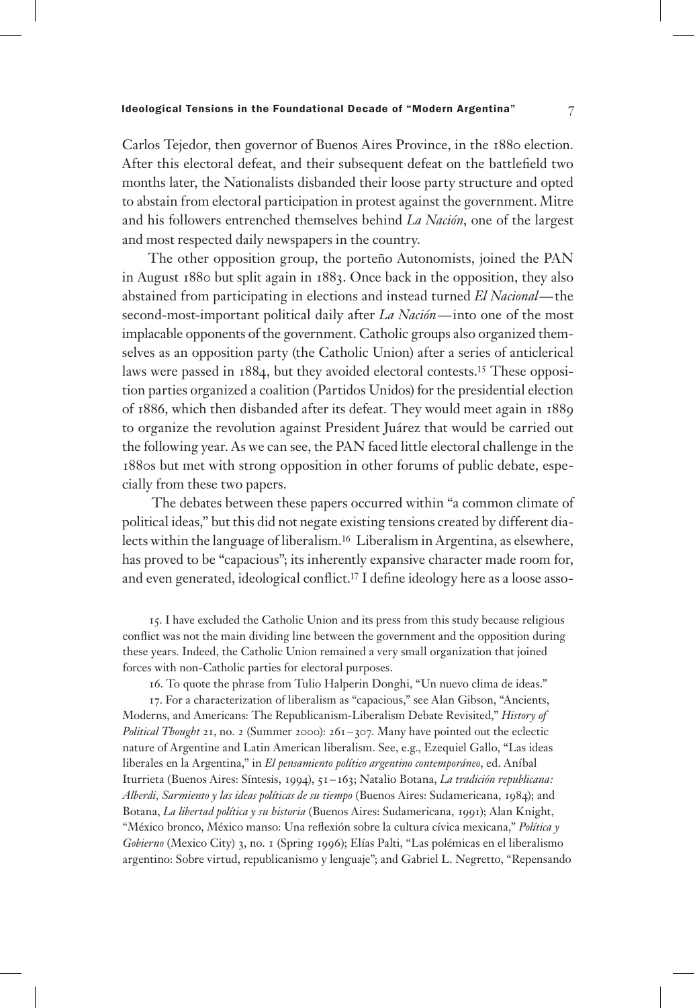Carlos Tejedor, then governor of Buenos Aires Province, in the 1880 election. After this electoral defeat, and their subsequent defeat on the battlefield two months later, the Nationalists disbanded their loose party structure and opted to abstain from electoral participation in protest against the government. Mitre and his followers entrenched themselves behind *La Nación*, one of the largest and most respected daily newspapers in the country.

The other opposition group, the porteño Autonomists, joined the PAN in August 1880 but split again in 1883. Once back in the opposition, they also abstained from participating in elections and instead turned *El Nacional*—the second-most-important political daily after *La Nación*—into one of the most implacable opponents of the government. Catholic groups also organized themselves as an opposition party (the Catholic Union) after a series of anticlerical laws were passed in 1884, but they avoided electoral contests.15 These opposition parties organized a coalition (Partidos Unidos) for the presidential election of 1886, which then disbanded after its defeat. They would meet again in 1889 to organize the revolution against President Juárez that would be carried out the following year. As we can see, the PAN faced little electoral challenge in the 1880s but met with strong opposition in other forums of public debate, especially from these two papers.

 The debates between these papers occurred within "a common climate of political ideas," but this did not negate existing tensions created by different dialects within the language of liberalism.16 Liberalism in Argentina, as elsewhere, has proved to be "capacious"; its inherently expansive character made room for, and even generated, ideological conflict.17 I define ideology here as a loose asso-

15. I have excluded the Catholic Union and its press from this study because religious conflict was not the main dividing line between the government and the opposition during these years. Indeed, the Catholic Union remained a very small organization that joined forces with non-Catholic parties for electoral purposes.

16. To quote the phrase from Tulio Halperin Donghi, "Un nuevo clima de ideas."

17. For a characterization of liberalism as "capacious," see Alan Gibson, "Ancients, Moderns, and Americans: The Republicanism-Liberalism Debate Revisited," *History of Political Thought* 21, no. 2 (Summer 2000): 261–307. Many have pointed out the eclectic nature of Argentine and Latin American liberalism. See, e.g., Ezequiel Gallo, "Las ideas liberales en la Argentina," in *El pensamiento político argentino contemporáneo*, ed. Aníbal Iturrieta (Buenos Aires: Síntesis, 1994), 51–163; Natalio Botana, *La tradición republicana: Alberdi, Sarmiento y las ideas políticas de su tiempo* (Buenos Aires: Sudamericana, 1984); and Botana, *La libertad política y su historia* (Buenos Aires: Sudamericana, 1991); Alan Knight, "México bronco, México manso: Una reflexión sobre la cultura cívica mexicana," *Política y Gobierno* (Mexico City) 3, no. 1 (Spring 1996); Elías Palti, "Las polémicas en el liberalismo argentino: Sobre virtud, republicanismo y lenguaje"; and Gabriel L. Negretto, "Repensando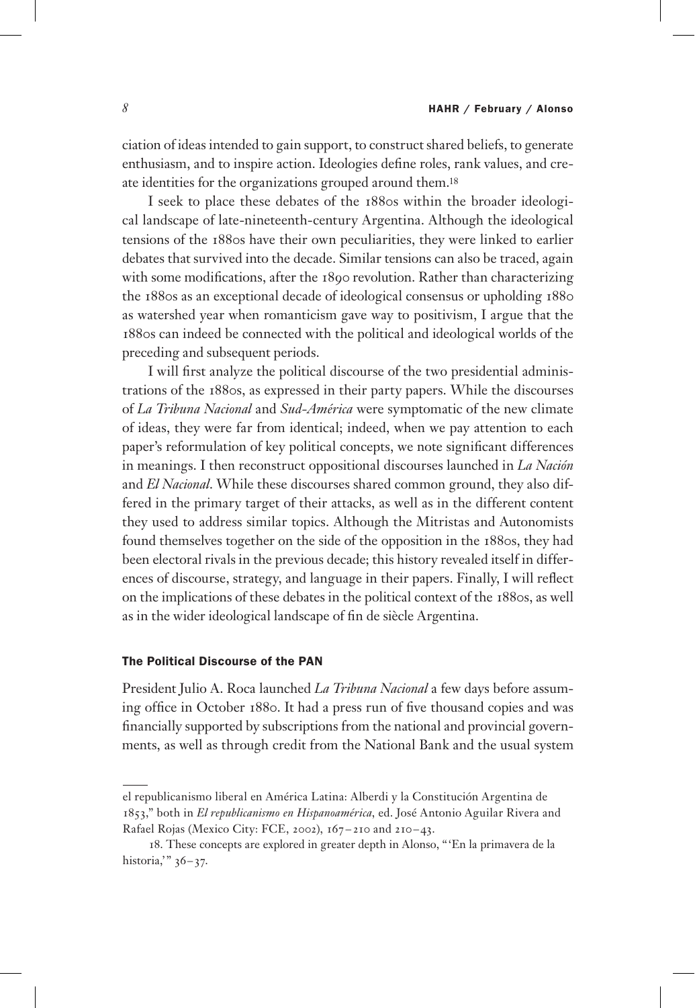ciation of ideas intended to gain support, to construct shared beliefs, to generate enthusiasm, and to inspire action. Ideologies define roles, rank values, and create identities for the organizations grouped around them.18

I seek to place these debates of the 1880s within the broader ideological landscape of late-nineteenth-century Argentina. Although the ideological tensions of the 1880s have their own peculiarities, they were linked to earlier debates that survived into the decade. Similar tensions can also be traced, again with some modifications, after the 1890 revolution. Rather than characterizing the 1880s as an exceptional decade of ideological consensus or upholding 1880 as watershed year when romanticism gave way to positivism, I argue that the 1880s can indeed be connected with the political and ideological worlds of the preceding and subsequent periods.

I will first analyze the political discourse of the two presidential administrations of the 1880s, as expressed in their party papers. While the discourses of *La Tribuna Nacional* and *Sud-América* were symptomatic of the new climate of ideas, they were far from identical; indeed, when we pay attention to each paper's reformulation of key political concepts, we note significant differences in meanings. I then reconstruct oppositional discourses launched in *La Nación*  and *El Nacional*. While these discourses shared common ground, they also differed in the primary target of their attacks, as well as in the different content they used to address similar topics. Although the Mitristas and Autonomists found themselves together on the side of the opposition in the 1880s, they had been electoral rivals in the previous decade; this history revealed itself in differences of discourse, strategy, and language in their papers. Finally, I will reflect on the implications of these debates in the political context of the 1880s, as well as in the wider ideological landscape of fin de siècle Argentina.

## The Political Discourse of the PAN

President Julio A. Roca launched *La Tribuna Nacional* a few days before assuming office in October 1880. It had a press run of five thousand copies and was financially supported by subscriptions from the national and provincial governments, as well as through credit from the National Bank and the usual system

el republicanismo liberal en América Latina: Alberdi y la Constitución Argentina de 1853," both in *El republicanismo en Hispanoamérica*, ed. José Antonio Aguilar Rivera and Rafael Rojas (Mexico City: FCE, 2002), 167–210 and 210–43.

<sup>18</sup>. These concepts are explored in greater depth in Alonso, "'En la primavera de la historia,'" 36–37.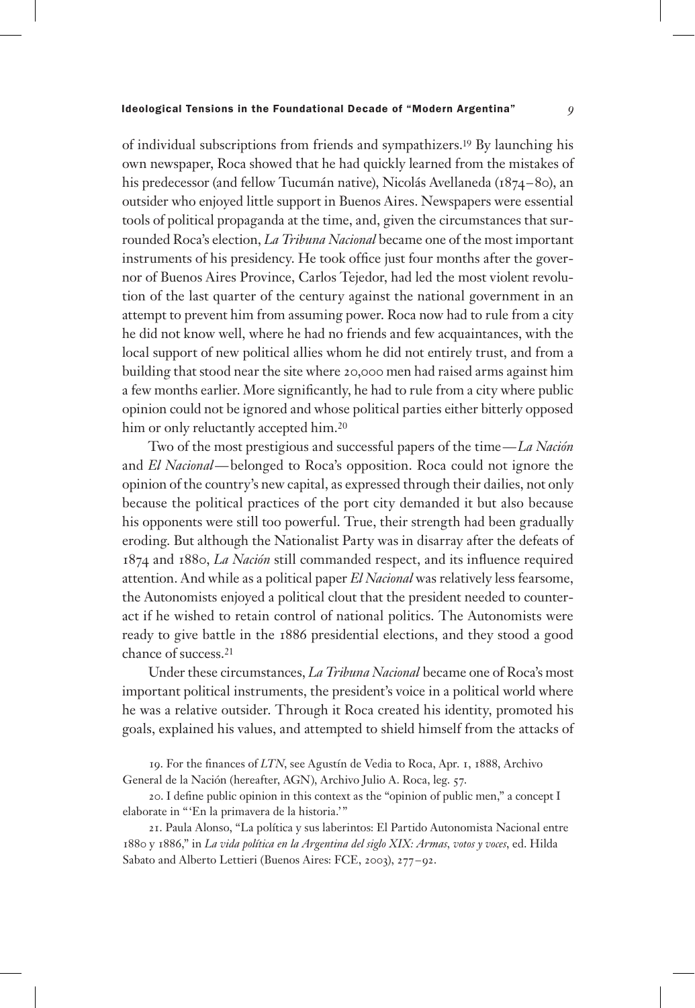of individual subscriptions from friends and sympathizers.19 By launching his own newspaper, Roca showed that he had quickly learned from the mistakes of his predecessor (and fellow Tucumán native), Nicolás Avellaneda (1874–80), an outsider who enjoyed little support in Buenos Aires. Newspapers were essential tools of political propaganda at the time, and, given the circumstances that surrounded Roca's election, *La Tribuna Nacional* became one of the most important instruments of his presidency. He took office just four months after the governor of Buenos Aires Province, Carlos Tejedor, had led the most violent revolution of the last quarter of the century against the national government in an attempt to prevent him from assuming power. Roca now had to rule from a city he did not know well, where he had no friends and few acquaintances, with the local support of new political allies whom he did not entirely trust, and from a building that stood near the site where 20,000 men had raised arms against him a few months earlier. More significantly, he had to rule from a city where public opinion could not be ignored and whose political parties either bitterly opposed him or only reluctantly accepted him.<sup>20</sup>

Two of the most prestigious and successful papers of the time—*La Nación* and *El Nacional*—belonged to Roca's opposition. Roca could not ignore the opinion of the country's new capital, as expressed through their dailies, not only because the political practices of the port city demanded it but also because his opponents were still too powerful. True, their strength had been gradually eroding. But although the Nationalist Party was in disarray after the defeats of 1874 and 1880, *La Nación* still commanded respect, and its influence required attention. And while as a political paper *El Nacional* was relatively less fearsome, the Autonomists enjoyed a political clout that the president needed to counteract if he wished to retain control of national politics. The Autonomists were ready to give battle in the 1886 presidential elections, and they stood a good chance of success.21

Under these circumstances, *La Tribuna Nacional* became one of Roca's most important political instruments, the president's voice in a political world where he was a relative outsider. Through it Roca created his identity, promoted his goals, explained his values, and attempted to shield himself from the attacks of

19. For the finances of *LTN*, see Agustín de Vedia to Roca, Apr. 1, 1888, Archivo General de la Nación (hereafter, AGN), Archivo Julio A. Roca, leg. 57.

20. I define public opinion in this context as the "opinion of public men," a concept I elaborate in "'En la primavera de la historia.'"

21. Paula Alonso, "La política y sus laberintos: El Partido Autonomista Nacional entre 1880 y 1886," in *La vida política en la Argentina del siglo XIX: Armas, votos y voces*, ed. Hilda Sabato and Alberto Lettieri (Buenos Aires: FCE, 2003), 277–92.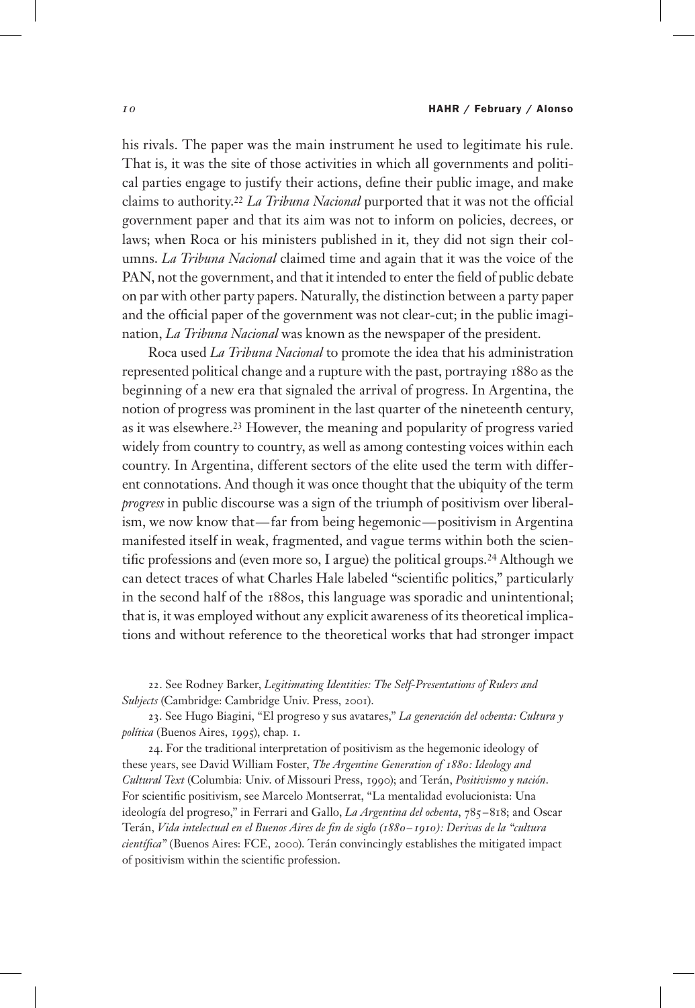his rivals. The paper was the main instrument he used to legitimate his rule. That is, it was the site of those activities in which all governments and political parties engage to justify their actions, define their public image, and make claims to authority.22 *La Tribuna Nacional* purported that it was not the official government paper and that its aim was not to inform on policies, decrees, or laws; when Roca or his ministers published in it, they did not sign their columns. *La Tribuna Nacional* claimed time and again that it was the voice of the PAN, not the government, and that it intended to enter the field of public debate on par with other party papers. Naturally, the distinction between a party paper and the official paper of the government was not clear-cut; in the public imagination, *La Tribuna Nacional* was known as the newspaper of the president.

Roca used *La Tribuna Nacional* to promote the idea that his administration represented political change and a rupture with the past, portraying 1880 as the beginning of a new era that signaled the arrival of progress. In Argentina, the notion of progress was prominent in the last quarter of the nineteenth century, as it was elsewhere.23 However, the meaning and popularity of progress varied widely from country to country, as well as among contesting voices within each country. In Argentina, different sectors of the elite used the term with different connotations. And though it was once thought that the ubiquity of the term *progress* in public discourse was a sign of the triumph of positivism over liberalism, we now know that—far from being hegemonic—positivism in Argentina manifested itself in weak, fragmented, and vague terms within both the scientific professions and (even more so, I argue) the political groups.24 Although we can detect traces of what Charles Hale labeled "scientific politics," particularly in the second half of the 1880s, this language was sporadic and unintentional; that is, it was employed without any explicit awareness of its theoretical implications and without reference to the theoretical works that had stronger impact

22. See Rodney Barker, *Legitimating Identities: The Self-Presentations of Rulers and Subjects* (Cambridge: Cambridge Univ. Press, 2001).

23. See Hugo Biagini, "El progreso y sus avatares," *La generación del ochenta: Cultura y política* (Buenos Aires, 1995), chap. 1.

24. For the traditional interpretation of positivism as the hegemonic ideology of these years, see David William Foster, *The Argentine Generation of 1880: Ideology and Cultural Text* (Columbia: Univ. of Missouri Press, 1990); and Terán, *Positivismo y nación*. For scientific positivism, see Marcelo Montserrat, "La mentalidad evolucionista: Una ideología del progreso," in Ferrari and Gallo, *La Argentina del ochenta*, 785–818; and Oscar Terán, *Vida intelectual en el Buenos Aires de fin de siglo (1880–1910): Derivas de la "cultura científica"* (Buenos Aires: FCE, 2000). Terán convincingly establishes the mitigated impact of positivism within the scientific profession.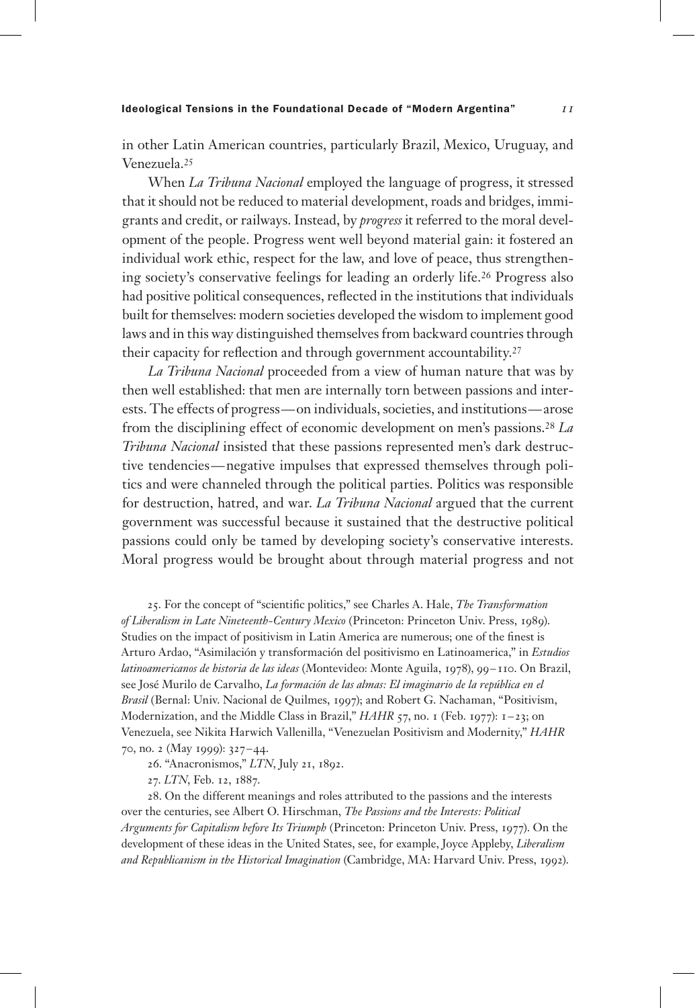in other Latin American countries, particularly Brazil, Mexico, Uruguay, and Venezuela.25

When *La Tribuna Nacional* employed the language of progress, it stressed that it should not be reduced to material development, roads and bridges, immigrants and credit, or railways. Instead, by *progress* it referred to the moral development of the people. Progress went well beyond material gain: it fostered an individual work ethic, respect for the law, and love of peace, thus strengthening society's conservative feelings for leading an orderly life.26 Progress also had positive political consequences, reflected in the institutions that individuals built for themselves: modern societies developed the wisdom to implement good laws and in this way distinguished themselves from backward countries through their capacity for reflection and through government accountability.27

*La Tribuna Nacional* proceeded from a view of human nature that was by then well established: that men are internally torn between passions and interests. The effects of progress—on individuals, societies, and institutions—arose from the disciplining effect of economic development on men's passions.28 *La Tribuna Nacional* insisted that these passions represented men's dark destructive tendencies—negative impulses that expressed themselves through politics and were channeled through the political parties. Politics was responsible for destruction, hatred, and war. *La Tribuna Nacional* argued that the current government was successful because it sustained that the destructive political passions could only be tamed by developing society's conservative interests. Moral progress would be brought about through material progress and not

25. For the concept of "scientific politics," see Charles A. Hale, *The Transformation of Liberalism in Late Nineteenth-Century Mexico* (Princeton: Princeton Univ. Press, 1989). Studies on the impact of positivism in Latin America are numerous; one of the finest is Arturo Ardao, "Asimilación y transformación del positivismo en Latinoamerica," in *Estudios latinoamericanos de historia de las ideas* (Montevideo: Monte Aguila, 1978), 99–110. On Brazil, see José Murilo de Carvalho, *La formación de las almas: El imaginario de la república en el Brasil* (Bernal: Univ. Nacional de Quilmes, 1997); and Robert G. Nachaman, "Positivism, Modernization, and the Middle Class in Brazil," *HAHR* 57, no. 1 (Feb. 1977): 1-23; on Venezuela, see Nikita Harwich Vallenilla, "Venezuelan Positivism and Modernity," *HAHR* 70, no. 2 (May 1999): 327–44.

26. "Anacronismos," *LTN*, July 21, 1892.

27. *LTN*, Feb. 12, 1887.

28. On the different meanings and roles attributed to the passions and the interests over the centuries, see Albert O. Hirschman, *The Passions and the Interests: Political Arguments for Capitalism before Its Triumph* (Princeton: Princeton Univ. Press, 1977). On the development of these ideas in the United States, see, for example, Joyce Appleby, *Liberalism and Republicanism in the Historical Imagination* (Cambridge, MA: Harvard Univ. Press, 1992).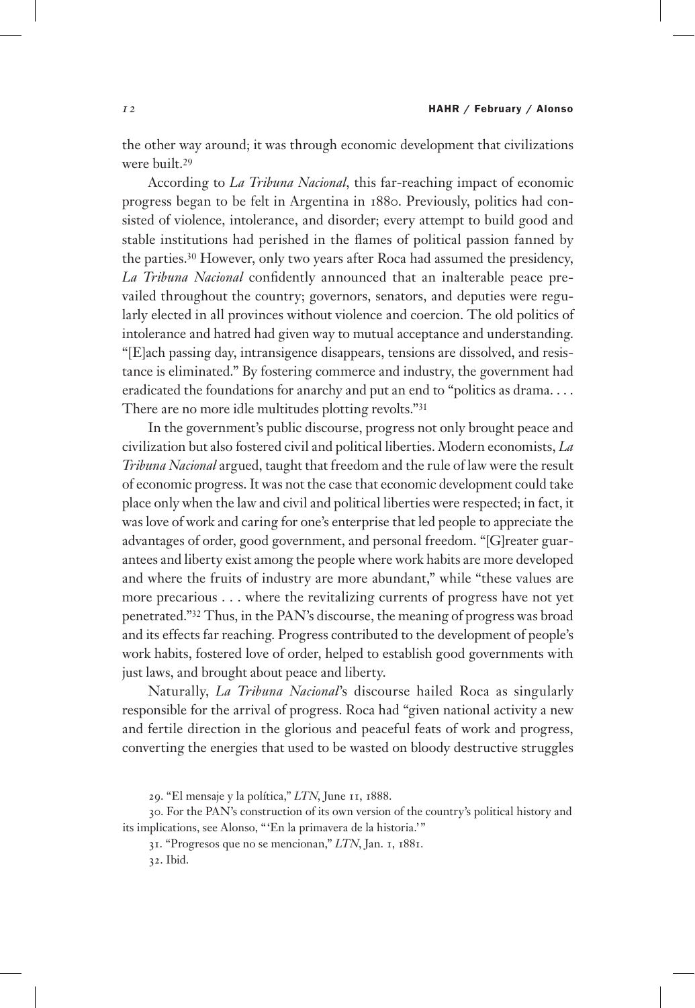the other way around; it was through economic development that civilizations were built.29

According to *La Tribuna Nacional*, this far-reaching impact of economic progress began to be felt in Argentina in 1880. Previously, politics had consisted of violence, intolerance, and disorder; every attempt to build good and stable institutions had perished in the flames of political passion fanned by the parties.30 However, only two years after Roca had assumed the presidency, *La Tribuna Nacional* confidently announced that an inalterable peace prevailed throughout the country; governors, senators, and deputies were regularly elected in all provinces without violence and coercion. The old politics of intolerance and hatred had given way to mutual acceptance and understanding. "[E]ach passing day, intransigence disappears, tensions are dissolved, and resistance is eliminated." By fostering commerce and industry, the government had eradicated the foundations for anarchy and put an end to "politics as drama. . . . There are no more idle multitudes plotting revolts."31

In the government's public discourse, progress not only brought peace and civilization but also fostered civil and political liberties. Modern economists, *La Tribuna Nacional* argued, taught that freedom and the rule of law were the result of economic progress. It was not the case that economic development could take place only when the law and civil and political liberties were respected; in fact, it was love of work and caring for one's enterprise that led people to appreciate the advantages of order, good government, and personal freedom. "[G]reater guarantees and liberty exist among the people where work habits are more developed and where the fruits of industry are more abundant," while "these values are more precarious . . . where the revitalizing currents of progress have not yet penetrated."32 Thus, in the PAN's discourse, the meaning of progress was broad and its effects far reaching. Progress contributed to the development of people's work habits, fostered love of order, helped to establish good governments with just laws, and brought about peace and liberty.

Naturally, *La Tribuna Nacional*'s discourse hailed Roca as singularly responsible for the arrival of progress. Roca had "given national activity a new and fertile direction in the glorious and peaceful feats of work and progress, converting the energies that used to be wasted on bloody destructive struggles

32. Ibid.

<sup>29</sup>. "El mensaje y la política," *LTN*, June 11, 1888.

<sup>30</sup>. For the PAN's construction of its own version of the country's political history and its implications, see Alonso, "'En la primavera de la historia.'"

<sup>31</sup>. "Progresos que no se mencionan," *LTN*, Jan. 1, 1881.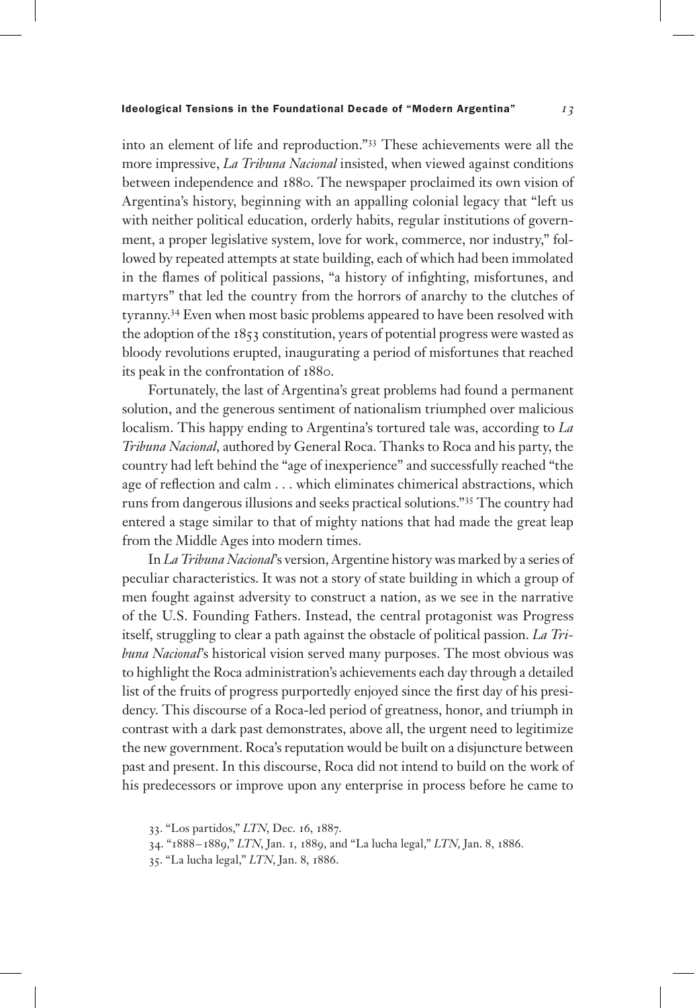into an element of life and reproduction."33 These achievements were all the more impressive, *La Tribuna Nacional* insisted, when viewed against conditions between independence and 1880. The newspaper proclaimed its own vision of Argentina's history, beginning with an appalling colonial legacy that "left us with neither political education, orderly habits, regular institutions of government, a proper legislative system, love for work, commerce, nor industry," followed by repeated attempts at state building, each of which had been immolated in the flames of political passions, "a history of infighting, misfortunes, and martyrs" that led the country from the horrors of anarchy to the clutches of tyranny.34 Even when most basic problems appeared to have been resolved with the adoption of the 1853 constitution, years of potential progress were wasted as bloody revolutions erupted, inaugurating a period of misfortunes that reached its peak in the confrontation of 1880.

Fortunately, the last of Argentina's great problems had found a permanent solution, and the generous sentiment of nationalism triumphed over malicious localism. This happy ending to Argentina's tortured tale was, according to *La Tribuna Nacional*, authored by General Roca. Thanks to Roca and his party, the country had left behind the "age of inexperience" and successfully reached "the age of reflection and calm . . . which eliminates chimerical abstractions, which runs from dangerous illusions and seeks practical solutions."35 The country had entered a stage similar to that of mighty nations that had made the great leap from the Middle Ages into modern times.

In *La Tribuna Nacional*'s version, Argentine history was marked by a series of peculiar characteristics. It was not a story of state building in which a group of men fought against adversity to construct a nation, as we see in the narrative of the U.S. Founding Fathers. Instead, the central protagonist was Progress itself, struggling to clear a path against the obstacle of political passion. *La Tribuna Nacional*'s historical vision served many purposes. The most obvious was to highlight the Roca administration's achievements each day through a detailed list of the fruits of progress purportedly enjoyed since the first day of his presidency. This discourse of a Roca-led period of greatness, honor, and triumph in contrast with a dark past demonstrates, above all, the urgent need to legitimize the new government. Roca's reputation would be built on a disjuncture between past and present. In this discourse, Roca did not intend to build on the work of his predecessors or improve upon any enterprise in process before he came to

<sup>33</sup>. "Los partidos," *LTN*, Dec. 16, 1887.

<sup>34</sup>. "1888–1889," *LTN*, Jan. 1, 1889, and "La lucha legal," *LTN*, Jan. 8, 1886.

<sup>35</sup>. "La lucha legal," *LTN*, Jan. 8, 1886.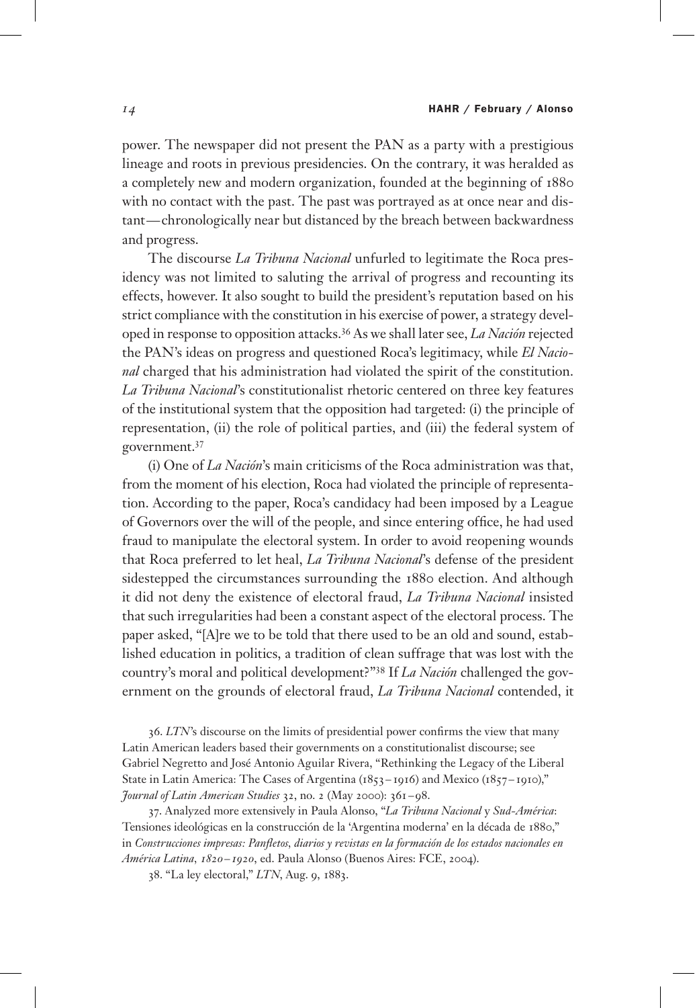power. The newspaper did not present the PAN as a party with a prestigious lineage and roots in previous presidencies. On the contrary, it was heralded as a completely new and modern organization, founded at the beginning of 1880 with no contact with the past. The past was portrayed as at once near and distant—chronologically near but distanced by the breach between backwardness and progress.

The discourse *La Tribuna Nacional* unfurled to legitimate the Roca presidency was not limited to saluting the arrival of progress and recounting its effects, however. It also sought to build the president's reputation based on his strict compliance with the constitution in his exercise of power, a strategy developed in response to opposition attacks.36 As we shall later see, *La Nación* rejected the PAN's ideas on progress and questioned Roca's legitimacy, while *El Nacional* charged that his administration had violated the spirit of the constitution. *La Tribuna Nacional*'s constitutionalist rhetoric centered on three key features of the institutional system that the opposition had targeted: (i) the principle of representation, (ii) the role of political parties, and (iii) the federal system of government.37

(i) One of *La Nación*'s main criticisms of the Roca administration was that, from the moment of his election, Roca had violated the principle of representation. According to the paper, Roca's candidacy had been imposed by a League of Governors over the will of the people, and since entering office, he had used fraud to manipulate the electoral system. In order to avoid reopening wounds that Roca preferred to let heal, *La Tribuna Nacional*'s defense of the president sidestepped the circumstances surrounding the 1880 election. And although it did not deny the existence of electoral fraud, *La Tribuna Nacional* insisted that such irregularities had been a constant aspect of the electoral process. The paper asked, "[A]re we to be told that there used to be an old and sound, established education in politics, a tradition of clean suffrage that was lost with the country's moral and political development?"38 If *La Nación* challenged the government on the grounds of electoral fraud, *La Tribuna Nacional* contended, it

36. *LTN*'s discourse on the limits of presidential power confirms the view that many Latin American leaders based their governments on a constitutionalist discourse; see Gabriel Negretto and José Antonio Aguilar Rivera, "Rethinking the Legacy of the Liberal State in Latin America: The Cases of Argentina (1853–1916) and Mexico (1857–1910)," *Journal of Latin American Studies* 32, no. 2 (May 2000): 361–98.

37. Analyzed more extensively in Paula Alonso, "*La Tribuna Nacional* y *Sud-América*: Tensiones ideológicas en la construcción de la 'Argentina moderna' en la década de 1880," in *Construcciones impresas: Panfletos, diarios y revistas en la formación de los estados nacionales en América Latina, 1820–1920*, ed. Paula Alonso (Buenos Aires: FCE, 2004).

38. "La ley electoral," *LTN*, Aug. 9, 1883.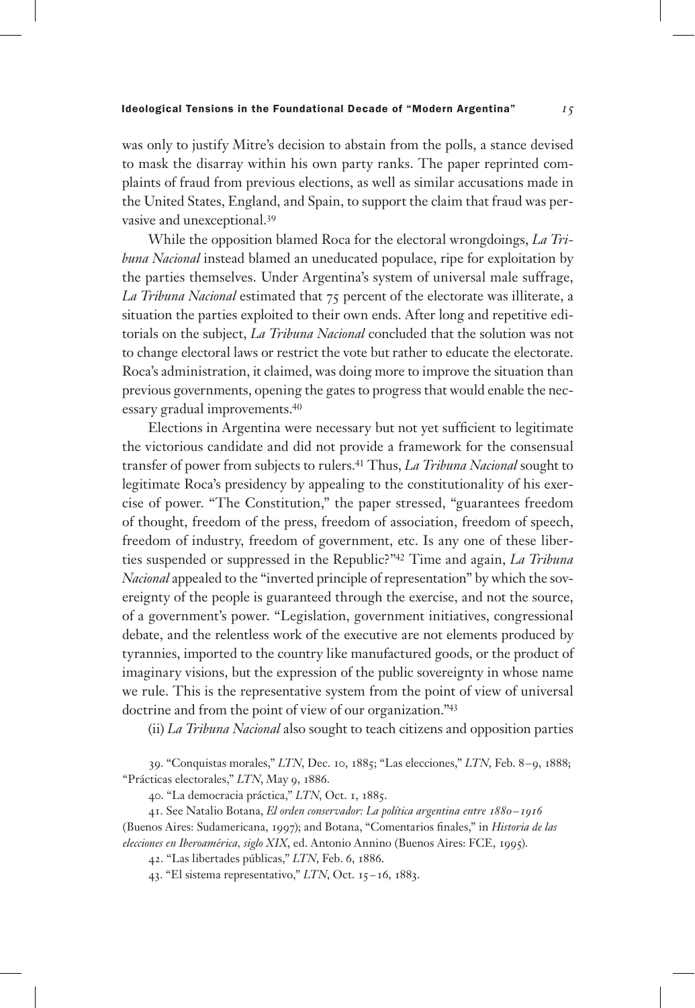was only to justify Mitre's decision to abstain from the polls, a stance devised to mask the disarray within his own party ranks. The paper reprinted complaints of fraud from previous elections, as well as similar accusations made in the United States, England, and Spain, to support the claim that fraud was pervasive and unexceptional.39

While the opposition blamed Roca for the electoral wrongdoings, *La Tribuna Nacional* instead blamed an uneducated populace, ripe for exploitation by the parties themselves. Under Argentina's system of universal male suffrage, *La Tribuna Nacional* estimated that 75 percent of the electorate was illiterate, a situation the parties exploited to their own ends. After long and repetitive editorials on the subject, *La Tribuna Nacional* concluded that the solution was not to change electoral laws or restrict the vote but rather to educate the electorate. Roca's administration, it claimed, was doing more to improve the situation than previous governments, opening the gates to progress that would enable the necessary gradual improvements.40

Elections in Argentina were necessary but not yet sufficient to legitimate the victorious candidate and did not provide a framework for the consensual transfer of power from subjects to rulers.41 Thus, *La Tribuna Nacional* sought to legitimate Roca's presidency by appealing to the constitutionality of his exercise of power. "The Constitution," the paper stressed, "guarantees freedom of thought, freedom of the press, freedom of association, freedom of speech, freedom of industry, freedom of government, etc. Is any one of these liberties suspended or suppressed in the Republic?"42 Time and again, *La Tribuna Nacional* appealed to the "inverted principle of representation" by which the sovereignty of the people is guaranteed through the exercise, and not the source, of a government's power. "Legislation, government initiatives, congressional debate, and the relentless work of the executive are not elements produced by tyrannies, imported to the country like manufactured goods, or the product of imaginary visions, but the expression of the public sovereignty in whose name we rule. This is the representative system from the point of view of universal doctrine and from the point of view of our organization."43

(ii) *La Tribuna Nacional* also sought to teach citizens and opposition parties

39. "Conquistas morales," *LTN*, Dec. 10, 1885; "Las elecciones," *LTN*, Feb. 8–9, 1888; "Prácticas electorales," *LTN*, May 9, 1886.

40. "La democracia práctica," *LTN*, Oct. 1, 1885.

41. See Natalio Botana, *El orden conservador: La política argentina entre 1880–1916*

(Buenos Aires: Sudamericana, 1997); and Botana, "Comentarios finales," in *Historia de las elecciones en Iberoamérica, siglo XIX*, ed. Antonio Annino (Buenos Aires: FCE, 1995).

42. "Las libertades públicas," *LTN*, Feb. 6, 1886.

43. "El sistema representativo," *LTN*, Oct. 15–16, 1883.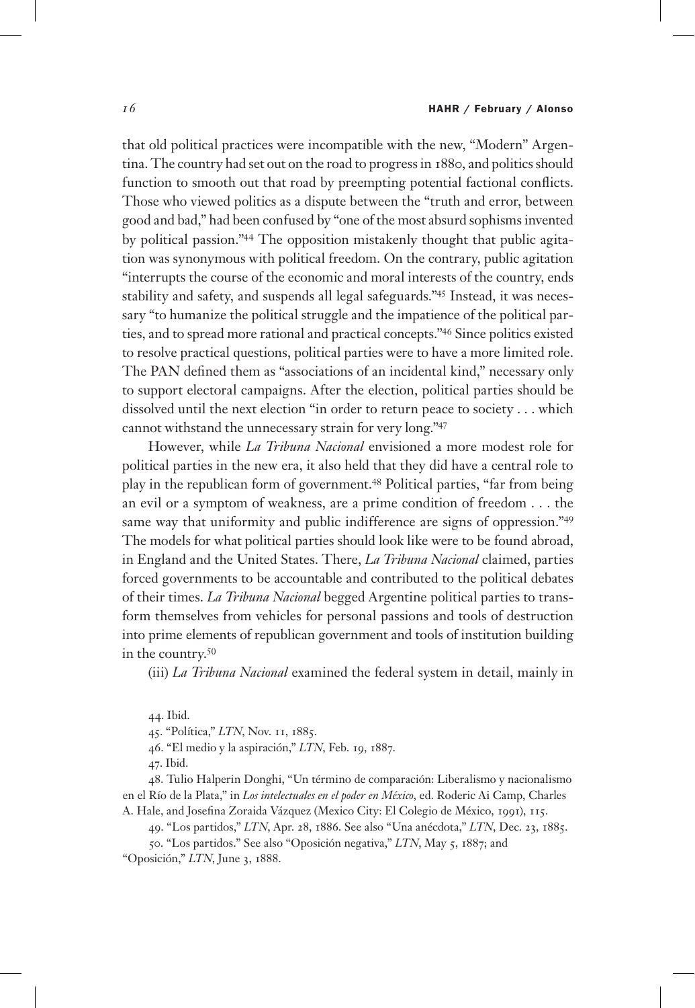that old political practices were incompatible with the new, "Modern" Argentina. The country had set out on the road to progress in 1880, and politics should function to smooth out that road by preempting potential factional conflicts. Those who viewed politics as a dispute between the "truth and error, between good and bad," had been confused by "one of the most absurd sophisms invented by political passion."44 The opposition mistakenly thought that public agitation was synonymous with political freedom. On the contrary, public agitation "interrupts the course of the economic and moral interests of the country, ends stability and safety, and suspends all legal safeguards."45 Instead, it was necessary "to humanize the political struggle and the impatience of the political parties, and to spread more rational and practical concepts."46 Since politics existed to resolve practical questions, political parties were to have a more limited role. The PAN defined them as "associations of an incidental kind," necessary only to support electoral campaigns. After the election, political parties should be dissolved until the next election "in order to return peace to society . . . which cannot withstand the unnecessary strain for very long."47

However, while *La Tribuna Nacional* envisioned a more modest role for political parties in the new era, it also held that they did have a central role to play in the republican form of government.48 Political parties, "far from being an evil or a symptom of weakness, are a prime condition of freedom . . . the same way that uniformity and public indifference are signs of oppression."<sup>49</sup> The models for what political parties should look like were to be found abroad, in England and the United States. There, *La Tribuna Nacional* claimed, parties forced governments to be accountable and contributed to the political debates of their times. *La Tribuna Nacional* begged Argentine political parties to transform themselves from vehicles for personal passions and tools of destruction into prime elements of republican government and tools of institution building in the country.50

(iii) *La Tribuna Nacional* examined the federal system in detail, mainly in

44. Ibid.

45. "Política," *LTN*, Nov. 11, 1885.

46. "El medio y la aspiración," *LTN*, Feb. 19, 1887.

47. Ibid.

48. Tulio Halperin Donghi, "Un término de comparación: Liberalismo y nacionalismo en el Río de la Plata," in *Los intelectuales en el poder en México*, ed. Roderic Ai Camp, Charles A. Hale, and Josefina Zoraida Vázquez (Mexico City: El Colegio de México, 1991), 115.

49. "Los partidos," *LTN*, Apr. 28, 1886. See also "Una anécdota," *LTN*, Dec. 23, 1885.

50. "Los partidos." See also "Oposición negativa," *LTN*, May 5, 1887; and "Oposición," *LTN*, June 3, 1888.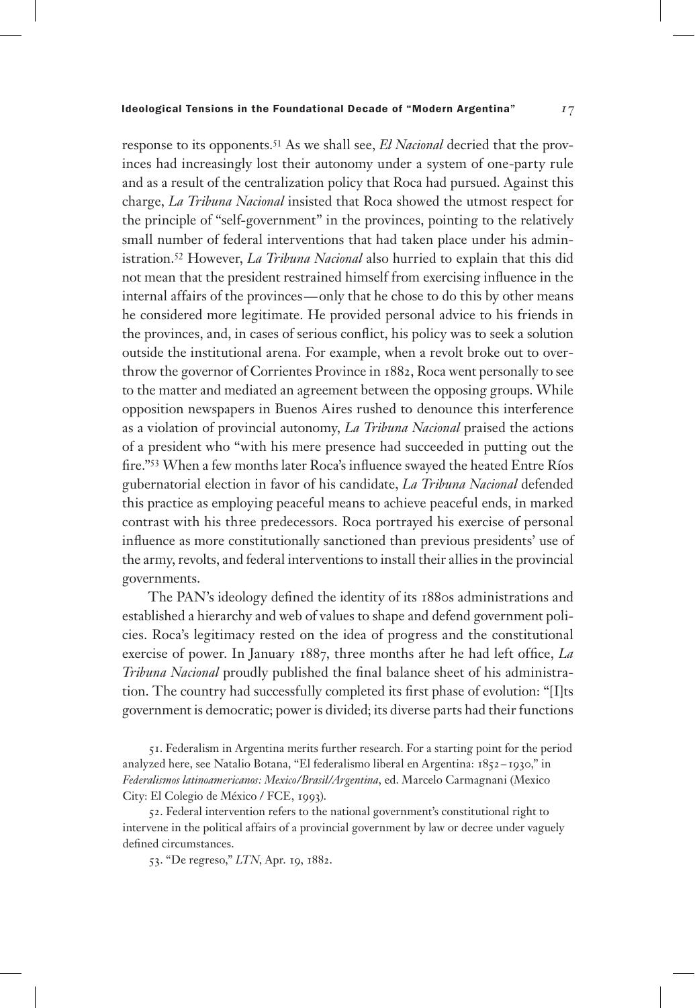response to its opponents.51 As we shall see, *El Nacional* decried that the provinces had increasingly lost their autonomy under a system of one-party rule and as a result of the centralization policy that Roca had pursued. Against this charge, *La Tribuna Nacional* insisted that Roca showed the utmost respect for the principle of "self-government" in the provinces, pointing to the relatively small number of federal interventions that had taken place under his administration.52 However, *La Tribuna Nacional* also hurried to explain that this did not mean that the president restrained himself from exercising influence in the internal affairs of the provinces—only that he chose to do this by other means he considered more legitimate. He provided personal advice to his friends in the provinces, and, in cases of serious conflict, his policy was to seek a solution outside the institutional arena. For example, when a revolt broke out to overthrow the governor of Corrientes Province in 1882, Roca went personally to see to the matter and mediated an agreement between the opposing groups. While opposition newspapers in Buenos Aires rushed to denounce this interference as a violation of provincial autonomy, *La Tribuna Nacional* praised the actions of a president who "with his mere presence had succeeded in putting out the fire."53 When a few months later Roca's influence swayed the heated Entre Ríos gubernatorial election in favor of his candidate, *La Tribuna Nacional* defended this practice as employing peaceful means to achieve peaceful ends, in marked contrast with his three predecessors. Roca portrayed his exercise of personal influence as more constitutionally sanctioned than previous presidents' use of the army, revolts, and federal interventions to install their allies in the provincial governments.

The PAN's ideology defined the identity of its 1880s administrations and established a hierarchy and web of values to shape and defend government policies. Roca's legitimacy rested on the idea of progress and the constitutional exercise of power. In January 1887, three months after he had left office, *La Tribuna Nacional* proudly published the final balance sheet of his administration. The country had successfully completed its first phase of evolution: "[I]ts government is democratic; power is divided; its diverse parts had their functions

51. Federalism in Argentina merits further research. For a starting point for the period analyzed here, see Natalio Botana, "El federalismo liberal en Argentina: 1852–1930," in *Federalismos latinoamericanos: Mexico/Brasil/Argentina*, ed. Marcelo Carmagnani (Mexico City: El Colegio de México / FCE, 1993).

52. Federal intervention refers to the national government's constitutional right to intervene in the political affairs of a provincial government by law or decree under vaguely defined circumstances.

53. "De regreso," *LTN*, Apr. 19, 1882.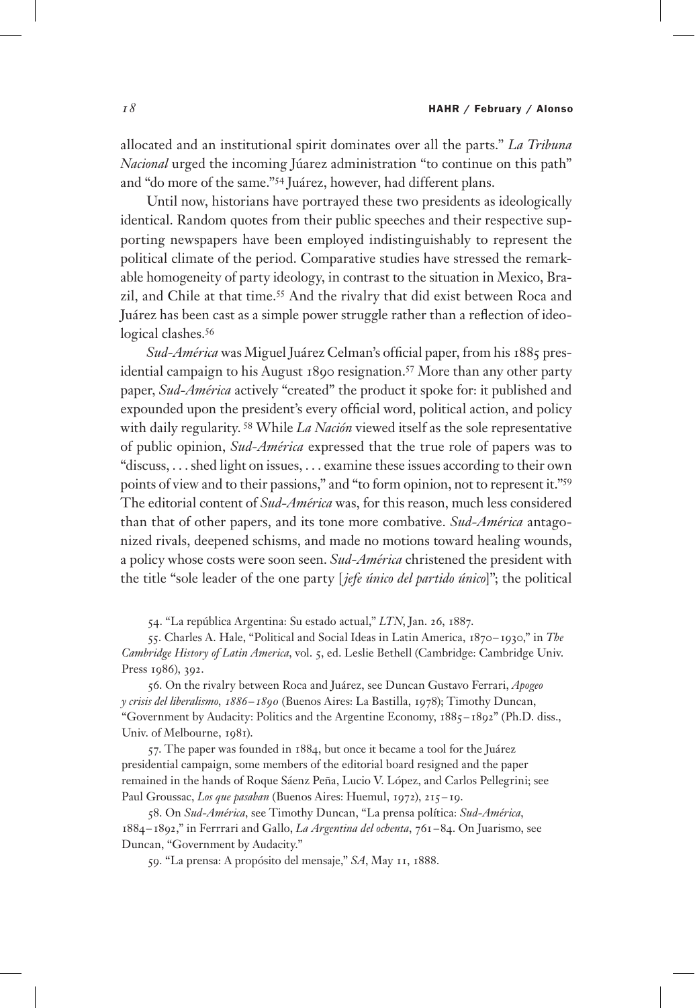allocated and an institutional spirit dominates over all the parts." *La Tribuna Nacional* urged the incoming Júarez administration "to continue on this path" and "do more of the same."54 Juárez, however, had different plans.

Until now, historians have portrayed these two presidents as ideologically identical. Random quotes from their public speeches and their respective supporting newspapers have been employed indistinguishably to represent the political climate of the period. Comparative studies have stressed the remarkable homogeneity of party ideology, in contrast to the situation in Mexico, Brazil, and Chile at that time.<sup>55</sup> And the rivalry that did exist between Roca and Juárez has been cast as a simple power struggle rather than a reflection of ideological clashes.<sup>56</sup>

*Sud-América* was Miguel Juárez Celman's official paper, from his 1885 presidential campaign to his August 1890 resignation.57 More than any other party paper, *Sud-América* actively "created" the product it spoke for: it published and expounded upon the president's every official word, political action, and policy with daily regularity. 58 While *La Nación* viewed itself as the sole representative of public opinion, *Sud-América* expressed that the true role of papers was to "discuss, . . . shed light on issues, . . . examine these issues according to their own points of view and to their passions," and "to form opinion, not to represent it."59 The editorial content of *Sud-América* was, for this reason, much less considered than that of other papers, and its tone more combative. *Sud-América* antagonized rivals, deepened schisms, and made no motions toward healing wounds, a policy whose costs were soon seen. *Sud-América* christened the president with the title "sole leader of the one party [*jefe único del partido único*]"; the political

54. "La república Argentina: Su estado actual," *LTN*, Jan. 26, 1887.

55. Charles A. Hale, "Political and Social Ideas in Latin America, 1870–1930," in *The Cambridge History of Latin America*, vol. 5, ed. Leslie Bethell (Cambridge: Cambridge Univ. Press 1986), 392.

56. On the rivalry between Roca and Juárez, see Duncan Gustavo Ferrari, *Apogeo y crisis del liberalismo, 1886–1890* (Buenos Aires: La Bastilla, 1978); Timothy Duncan, "Government by Audacity: Politics and the Argentine Economy, 1885–1892" (Ph.D. diss., Univ. of Melbourne, 1981).

57. The paper was founded in 1884, but once it became a tool for the Juárez presidential campaign, some members of the editorial board resigned and the paper remained in the hands of Roque Sáenz Peña, Lucio V. López, and Carlos Pellegrini; see Paul Groussac, *Los que pasaban* (Buenos Aires: Huemul, 1972), 215–19.

58. On *Sud-América*, see Timothy Duncan, "La prensa política: *Sud-América*, 1884–1892," in Ferrrari and Gallo, *La Argentina del ochenta*, 761–84. On Juarismo, see Duncan, "Government by Audacity."

59. "La prensa: A propósito del mensaje," *SA*, May 11, 1888.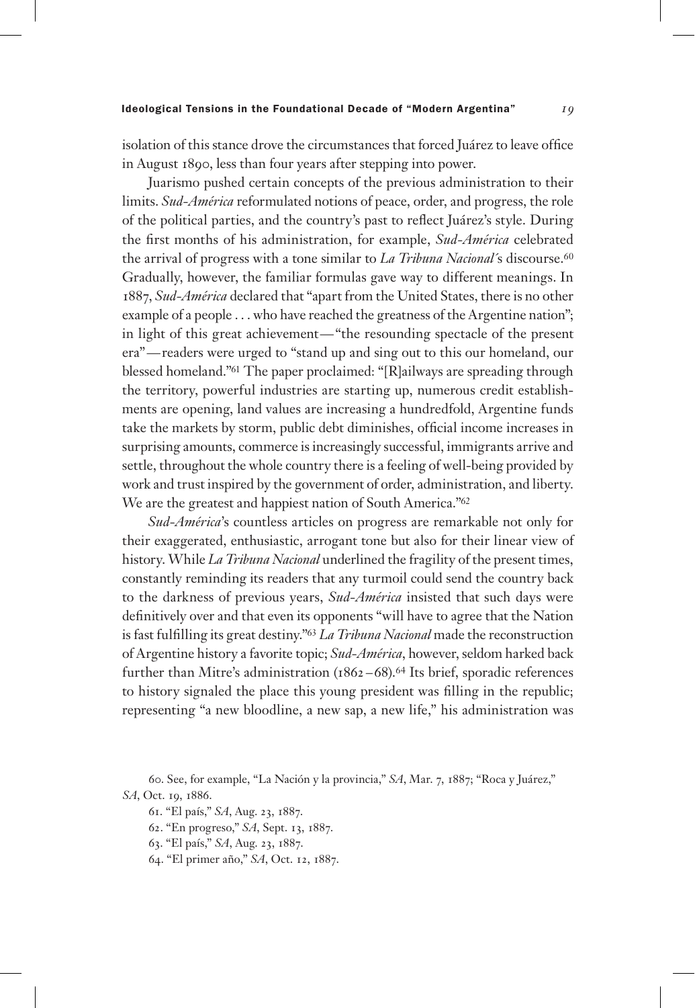isolation of this stance drove the circumstances that forced Juárez to leave office in August 1890, less than four years after stepping into power.

Juarismo pushed certain concepts of the previous administration to their limits. *Sud-América* reformulated notions of peace, order, and progress, the role of the political parties, and the country's past to reflect Juárez's style. During the first months of his administration, for example, *Sud-América* celebrated the arrival of progress with a tone similar to *La Tribuna Nacional*´s discourse.60 Gradually, however, the familiar formulas gave way to different meanings. In 1887, *Sud-América* declared that "apart from the United States, there is no other example of a people . . . who have reached the greatness of the Argentine nation"; in light of this great achievement—"the resounding spectacle of the present era"—readers were urged to "stand up and sing out to this our homeland, our blessed homeland."61 The paper proclaimed: "[R]ailways are spreading through the territory, powerful industries are starting up, numerous credit establishments are opening, land values are increasing a hundredfold, Argentine funds take the markets by storm, public debt diminishes, official income increases in surprising amounts, commerce is increasingly successful, immigrants arrive and settle, throughout the whole country there is a feeling of well-being provided by work and trust inspired by the government of order, administration, and liberty. We are the greatest and happiest nation of South America."62

*Sud-América*'s countless articles on progress are remarkable not only for their exaggerated, enthusiastic, arrogant tone but also for their linear view of history. While *La Tribuna Nacional* underlined the fragility of the present times, constantly reminding its readers that any turmoil could send the country back to the darkness of previous years, *Sud-América* insisted that such days were definitively over and that even its opponents "will have to agree that the Nation is fast fulfilling its great destiny."63 *La Tribuna Nacional* made the reconstruction of Argentine history a favorite topic; *Sud-América*, however, seldom harked back further than Mitre's administration (1862–68).64 Its brief, sporadic references to history signaled the place this young president was filling in the republic; representing "a new bloodline, a new sap, a new life," his administration was

60. See, for example, "La Nación y la provincia," *SA*, Mar. 7, 1887; "Roca y Juárez," *SA*, Oct. 19, 1886.

61. "El país," *SA*, Aug. 23, 1887.

62. "En progreso," *SA*, Sept. 13, 1887.

63. "El país," *SA*, Aug. 23, 1887.

64. "El primer año," *SA*, Oct. 12, 1887.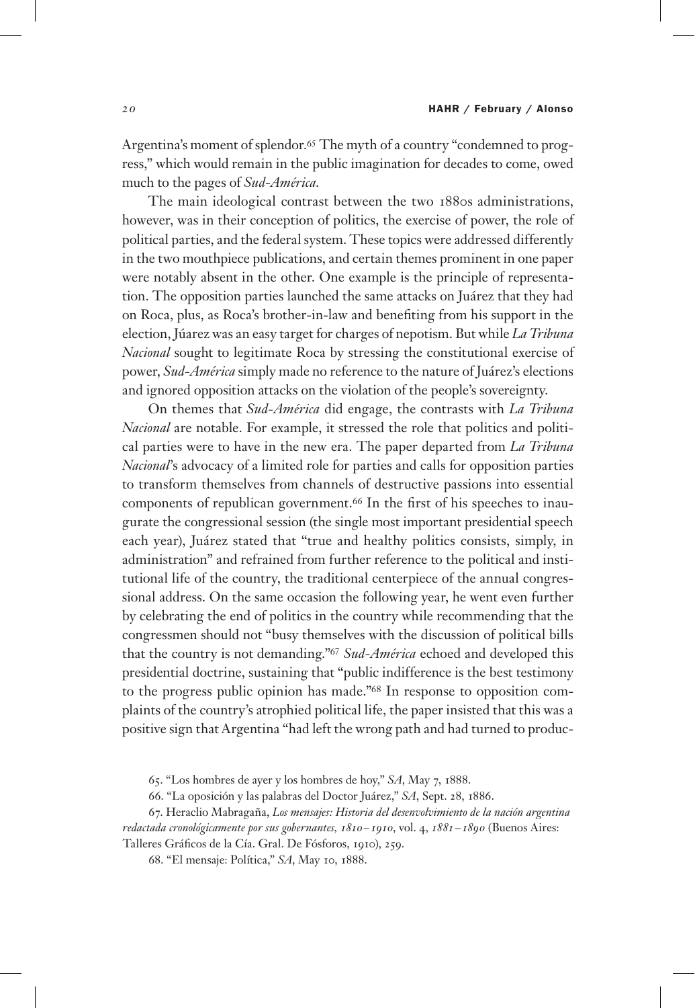Argentina's moment of splendor.65 The myth of a country "condemned to progress," which would remain in the public imagination for decades to come, owed much to the pages of *Sud-América*.

The main ideological contrast between the two 1880s administrations, however, was in their conception of politics, the exercise of power, the role of political parties, and the federal system. These topics were addressed differently in the two mouthpiece publications, and certain themes prominent in one paper were notably absent in the other. One example is the principle of representation. The opposition parties launched the same attacks on Juárez that they had on Roca, plus, as Roca's brother-in-law and benefiting from his support in the election, Júarez was an easy target for charges of nepotism. But while *La Tribuna Nacional* sought to legitimate Roca by stressing the constitutional exercise of power, *Sud-América* simply made no reference to the nature of Juárez's elections and ignored opposition attacks on the violation of the people's sovereignty.

On themes that *Sud-América* did engage, the contrasts with *La Tribuna Nacional* are notable. For example, it stressed the role that politics and political parties were to have in the new era. The paper departed from *La Tribuna Nacional*'s advocacy of a limited role for parties and calls for opposition parties to transform themselves from channels of destructive passions into essential components of republican government.66 In the first of his speeches to inaugurate the congressional session (the single most important presidential speech each year), Juárez stated that "true and healthy politics consists, simply, in administration" and refrained from further reference to the political and institutional life of the country, the traditional centerpiece of the annual congressional address. On the same occasion the following year, he went even further by celebrating the end of politics in the country while recommending that the congressmen should not "busy themselves with the discussion of political bills that the country is not demanding."67 *Sud-América* echoed and developed this presidential doctrine, sustaining that "public indifference is the best testimony to the progress public opinion has made."68 In response to opposition complaints of the country's atrophied political life, the paper insisted that this was a positive sign that Argentina "had left the wrong path and had turned to produc-

<sup>65</sup>. "Los hombres de ayer y los hombres de hoy," *SA*, May 7, 1888.

<sup>66</sup>. "La oposición y las palabras del Doctor Juárez," *SA*, Sept. 28, 1886.

<sup>67</sup>. Heraclio Mabragaña, *Los mensajes: Historia del desenvolvimiento de la nación argentina redactada cronológicamente por sus gobernantes, 1810–1910*, vol. 4, *1881–1890* (Buenos Aires:

Talleres Gráficos de la Cía. Gral. De Fósforos, 1910), 259.

<sup>68</sup>. "El mensaje: Política," *SA*, May 10, 1888.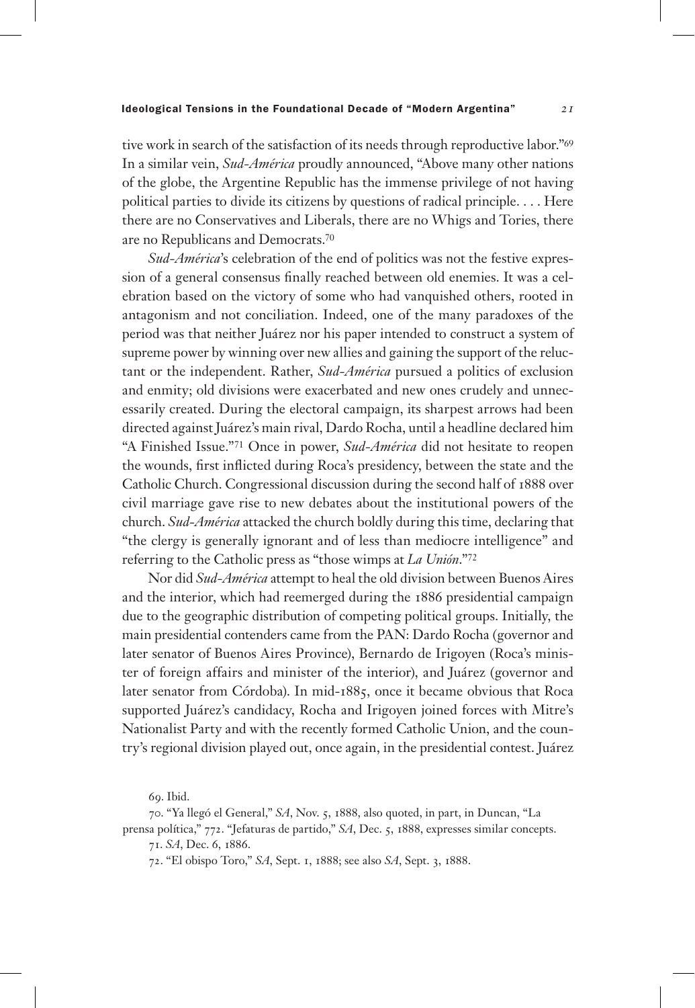tive work in search of the satisfaction of its needs through reproductive labor."69 In a similar vein, *Sud-América* proudly announced, "Above many other nations of the globe, the Argentine Republic has the immense privilege of not having political parties to divide its citizens by questions of radical principle. . . . Here there are no Conservatives and Liberals, there are no Whigs and Tories, there are no Republicans and Democrats.70

*Sud-América*'s celebration of the end of politics was not the festive expression of a general consensus finally reached between old enemies. It was a celebration based on the victory of some who had vanquished others, rooted in antagonism and not conciliation. Indeed, one of the many paradoxes of the period was that neither Juárez nor his paper intended to construct a system of supreme power by winning over new allies and gaining the support of the reluctant or the independent. Rather, *Sud-América* pursued a politics of exclusion and enmity; old divisions were exacerbated and new ones crudely and unnecessarily created. During the electoral campaign, its sharpest arrows had been directed against Juárez's main rival, Dardo Rocha, until a headline declared him "A Finished Issue."71 Once in power, *Sud-América* did not hesitate to reopen the wounds, first inflicted during Roca's presidency, between the state and the Catholic Church. Congressional discussion during the second half of 1888 over civil marriage gave rise to new debates about the institutional powers of the church. *Sud-América* attacked the church boldly during this time, declaring that "the clergy is generally ignorant and of less than mediocre intelligence" and referring to the Catholic press as "those wimps at *La Unión*."72

Nor did *Sud-América* attempt to heal the old division between Buenos Aires and the interior, which had reemerged during the 1886 presidential campaign due to the geographic distribution of competing political groups. Initially, the main presidential contenders came from the PAN: Dardo Rocha (governor and later senator of Buenos Aires Province), Bernardo de Irigoyen (Roca's minister of foreign affairs and minister of the interior), and Juárez (governor and later senator from Córdoba). In mid-1885, once it became obvious that Roca supported Juárez's candidacy, Rocha and Irigoyen joined forces with Mitre's Nationalist Party and with the recently formed Catholic Union, and the country's regional division played out, once again, in the presidential contest. Juárez

- prensa política," 772. "Jefaturas de partido," *SA*, Dec. 5, 1888, expresses similar concepts. 71. *SA*, Dec. 6, 1886.
	- 72. "El obispo Toro," *SA*, Sept. 1, 1888; see also *SA*, Sept. 3, 1888.

<sup>60.</sup> Ibid.

<sup>70</sup>. "Ya llegó el General," *SA*, Nov. 5, 1888, also quoted, in part, in Duncan, "La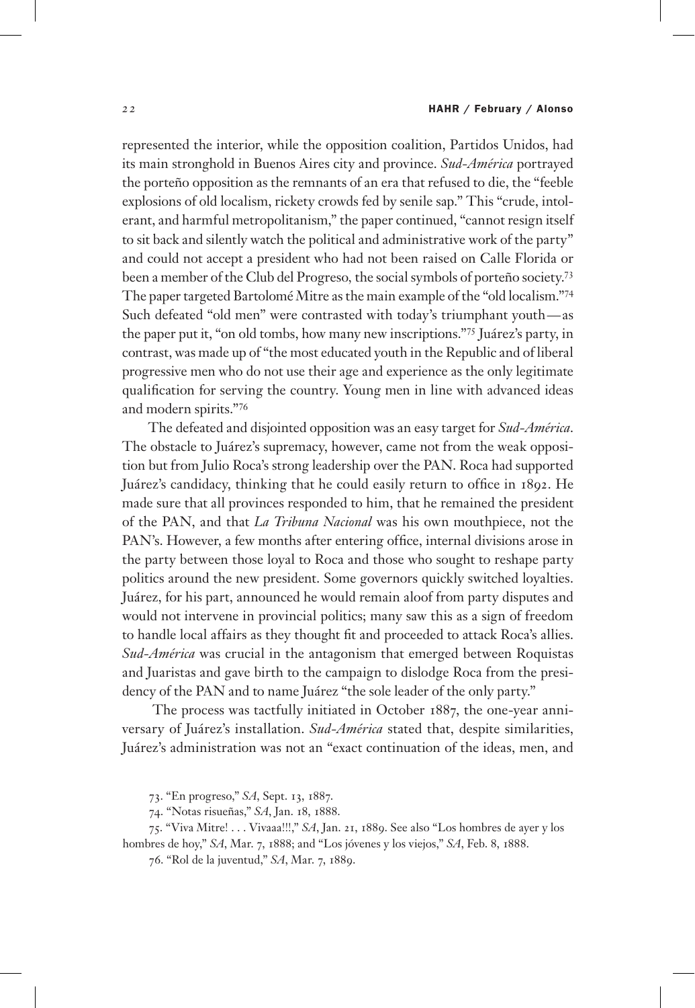represented the interior, while the opposition coalition, Partidos Unidos, had its main stronghold in Buenos Aires city and province. *Sud-América* portrayed the porteño opposition as the remnants of an era that refused to die, the "feeble explosions of old localism, rickety crowds fed by senile sap." This "crude, intolerant, and harmful metropolitanism," the paper continued, "cannot resign itself to sit back and silently watch the political and administrative work of the party" and could not accept a president who had not been raised on Calle Florida or been a member of the Club del Progreso*,* the social symbols of porteño society.73 The paper targeted Bartolomé Mitre as the main example of the "old localism."74 Such defeated "old men" were contrasted with today's triumphant youth—as the paper put it, "on old tombs, how many new inscriptions."75 Juárez's party, in contrast, was made up of "the most educated youth in the Republic and of liberal progressive men who do not use their age and experience as the only legitimate qualification for serving the country. Young men in line with advanced ideas and modern spirits."76

The defeated and disjointed opposition was an easy target for *Sud-América*. The obstacle to Juárez's supremacy, however, came not from the weak opposition but from Julio Roca's strong leadership over the PAN. Roca had supported Juárez's candidacy, thinking that he could easily return to office in 1892. He made sure that all provinces responded to him, that he remained the president of the PAN, and that *La Tribuna Nacional* was his own mouthpiece, not the PAN's. However, a few months after entering office, internal divisions arose in the party between those loyal to Roca and those who sought to reshape party politics around the new president. Some governors quickly switched loyalties. Juárez, for his part, announced he would remain aloof from party disputes and would not intervene in provincial politics; many saw this as a sign of freedom to handle local affairs as they thought fit and proceeded to attack Roca's allies. *Sud-América* was crucial in the antagonism that emerged between Roquistas and Juaristas and gave birth to the campaign to dislodge Roca from the presidency of the PAN and to name Juárez "the sole leader of the only party."

 The process was tactfully initiated in October 1887, the one-year anniversary of Juárez's installation. *Sud-América* stated that, despite similarities, Juárez's administration was not an "exact continuation of the ideas, men, and

73. "En progreso," *SA*, Sept. 13, 1887.

75. "Viva Mitre! . . . Vivaaa!!!," *SA*, Jan. 21, 1889. See also "Los hombres de ayer y los hombres de hoy," *SA*, Mar. 7, 1888; and "Los jóvenes y los viejos," *SA*, Feb. 8, 1888.

76. "Rol de la juventud," *SA*, Mar. 7, 1889.

<sup>74</sup>. "Notas risueñas," *SA*, Jan. 18, 1888.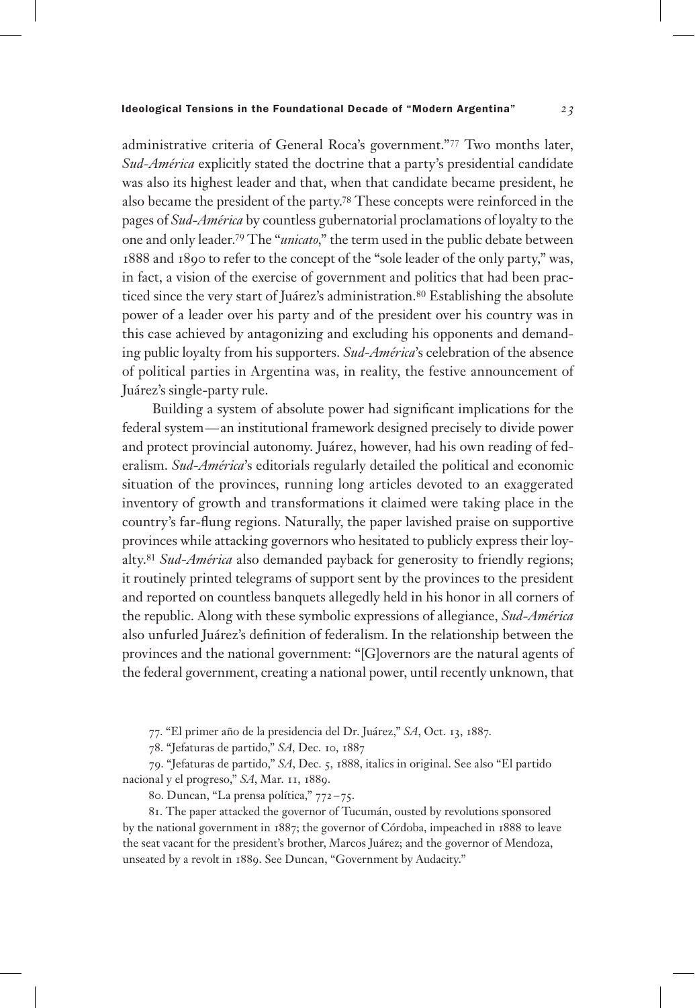administrative criteria of General Roca's government."77 Two months later, *Sud-América* explicitly stated the doctrine that a party's presidential candidate was also its highest leader and that, when that candidate became president, he also became the president of the party.78 These concepts were reinforced in the pages of *Sud-América* by countless gubernatorial proclamations of loyalty to the one and only leader.79 The "*unicato*," the term used in the public debate between 1888 and 1890 to refer to the concept of the "sole leader of the only party," was, in fact, a vision of the exercise of government and politics that had been practiced since the very start of Juárez's administration.<sup>80</sup> Establishing the absolute power of a leader over his party and of the president over his country was in this case achieved by antagonizing and excluding his opponents and demanding public loyalty from his supporters. *Sud-América*'s celebration of the absence of political parties in Argentina was, in reality, the festive announcement of Juárez's single-party rule.

 Building a system of absolute power had significant implications for the federal system—an institutional framework designed precisely to divide power and protect provincial autonomy. Juárez, however, had his own reading of federalism. *Sud-América*'s editorials regularly detailed the political and economic situation of the provinces, running long articles devoted to an exaggerated inventory of growth and transformations it claimed were taking place in the country's far-flung regions. Naturally, the paper lavished praise on supportive provinces while attacking governors who hesitated to publicly express their loyalty.81 *Sud-América* also demanded payback for generosity to friendly regions; it routinely printed telegrams of support sent by the provinces to the president and reported on countless banquets allegedly held in his honor in all corners of the republic. Along with these symbolic expressions of allegiance, *Sud-América* also unfurled Juárez's definition of federalism. In the relationship between the provinces and the national government: "[G]overnors are the natural agents of the federal government, creating a national power, until recently unknown, that

77. "El primer año de la presidencia del Dr. Juárez," *SA*, Oct. 13, 1887.

78. "Jefaturas de partido," *SA*, Dec. 10, 1887

79. "Jefaturas de partido," *SA*, Dec. 5, 1888, italics in original. See also "El partido nacional y el progreso," *SA*, Mar. 11, 1889.

80. Duncan, "La prensa política," 772–75.

81. The paper attacked the governor of Tucumán, ousted by revolutions sponsored by the national government in 1887; the governor of Córdoba, impeached in 1888 to leave the seat vacant for the president's brother, Marcos Juárez; and the governor of Mendoza, unseated by a revolt in 1889. See Duncan, "Government by Audacity."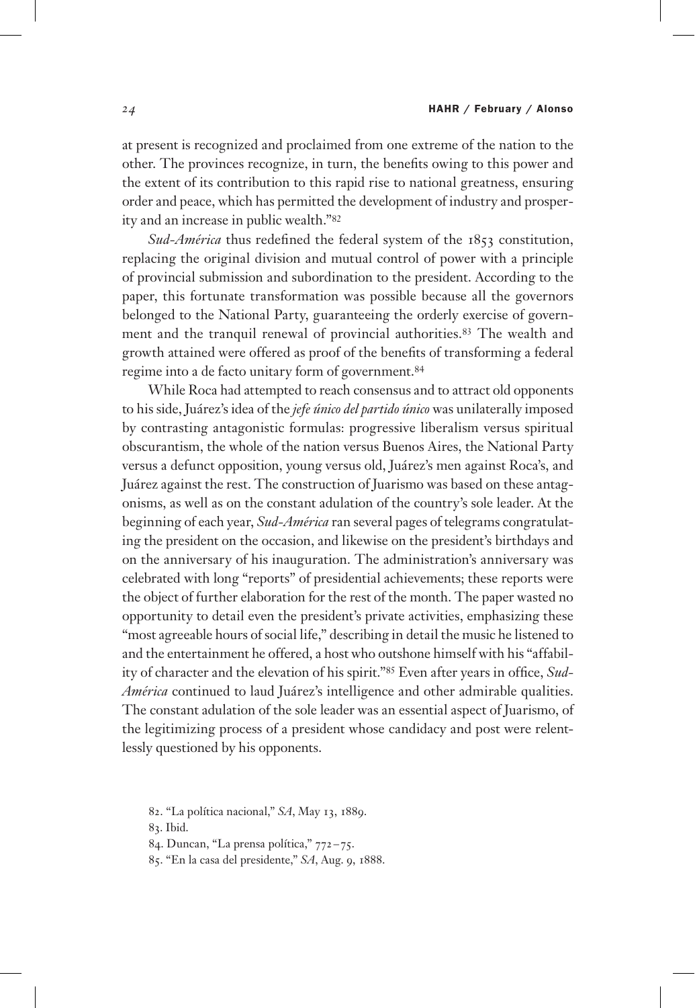at present is recognized and proclaimed from one extreme of the nation to the other. The provinces recognize, in turn, the benefits owing to this power and the extent of its contribution to this rapid rise to national greatness, ensuring order and peace, which has permitted the development of industry and prosperity and an increase in public wealth."82

*Sud-América* thus redefined the federal system of the 1853 constitution, replacing the original division and mutual control of power with a principle of provincial submission and subordination to the president. According to the paper, this fortunate transformation was possible because all the governors belonged to the National Party, guaranteeing the orderly exercise of government and the tranquil renewal of provincial authorities.83 The wealth and growth attained were offered as proof of the benefits of transforming a federal regime into a de facto unitary form of government.<sup>84</sup>

While Roca had attempted to reach consensus and to attract old opponents to his side, Juárez's idea of the *jefe único del partido único* was unilaterally imposed by contrasting antagonistic formulas: progressive liberalism versus spiritual obscurantism, the whole of the nation versus Buenos Aires, the National Party versus a defunct opposition, young versus old, Juárez's men against Roca's, and Juárez against the rest. The construction of Juarismo was based on these antagonisms, as well as on the constant adulation of the country's sole leader. At the beginning of each year, *Sud-América* ran several pages of telegrams congratulating the president on the occasion, and likewise on the president's birthdays and on the anniversary of his inauguration. The administration's anniversary was celebrated with long "reports" of presidential achievements; these reports were the object of further elaboration for the rest of the month. The paper wasted no opportunity to detail even the president's private activities, emphasizing these "most agreeable hours of social life," describing in detail the music he listened to and the entertainment he offered, a host who outshone himself with his "affability of character and the elevation of his spirit."85 Even after years in office, *Sud-América* continued to laud Juárez's intelligence and other admirable qualities. The constant adulation of the sole leader was an essential aspect of Juarismo, of the legitimizing process of a president whose candidacy and post were relentlessly questioned by his opponents.

82. "La política nacional," *SA*, May 13, 1889.

83. Ibid.

84. Duncan, "La prensa política," 772–75.

85. "En la casa del presidente," *SA*, Aug. 9, 1888.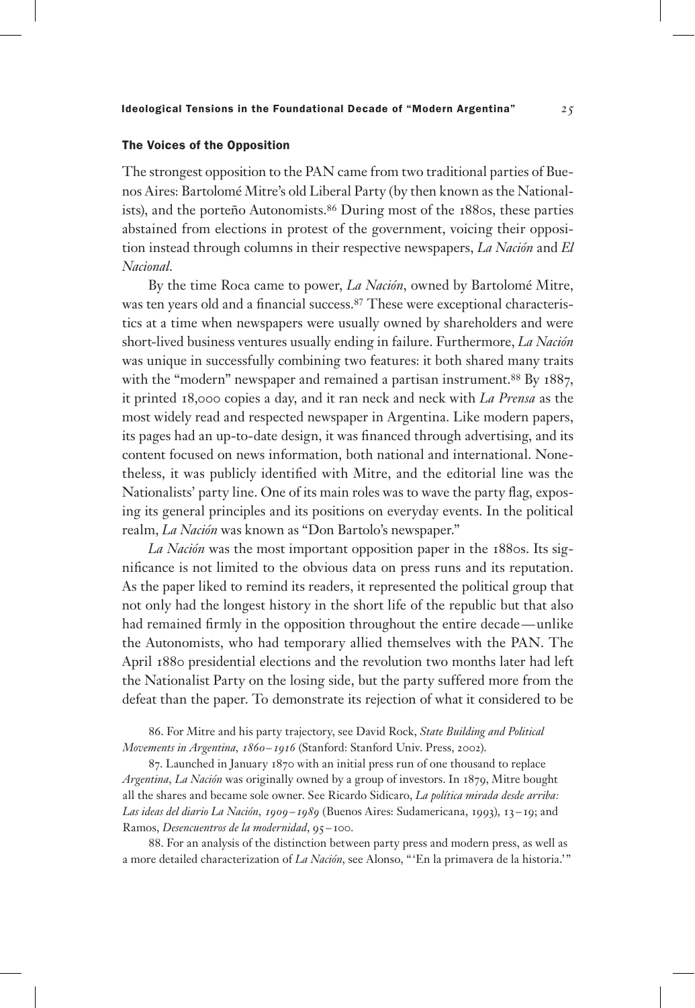#### The Voices of the Opposition

The strongest opposition to the PAN came from two traditional parties of Buenos Aires: Bartolomé Mitre's old Liberal Party (by then known as the Nationalists), and the porteño Autonomists.86 During most of the 1880s, these parties abstained from elections in protest of the government, voicing their opposition instead through columns in their respective newspapers, *La Nación* and *El Nacional*.

By the time Roca came to power, *La Nación*, owned by Bartolomé Mitre, was ten years old and a financial success.87 These were exceptional characteristics at a time when newspapers were usually owned by shareholders and were short-lived business ventures usually ending in failure. Furthermore, *La Nación*  was unique in successfully combining two features: it both shared many traits with the "modern" newspaper and remained a partisan instrument.<sup>88</sup> By 1887, it printed 18,000 copies a day, and it ran neck and neck with *La Prensa* as the most widely read and respected newspaper in Argentina. Like modern papers, its pages had an up-to-date design, it was financed through advertising, and its content focused on news information, both national and international. Nonetheless, it was publicly identified with Mitre, and the editorial line was the Nationalists' party line. One of its main roles was to wave the party flag, exposing its general principles and its positions on everyday events. In the political realm, *La Nación* was known as "Don Bartolo's newspaper."

*La Nación* was the most important opposition paper in the 1880s. Its significance is not limited to the obvious data on press runs and its reputation. As the paper liked to remind its readers, it represented the political group that not only had the longest history in the short life of the republic but that also had remained firmly in the opposition throughout the entire decade—unlike the Autonomists, who had temporary allied themselves with the PAN. The April 1880 presidential elections and the revolution two months later had left the Nationalist Party on the losing side, but the party suffered more from the defeat than the paper. To demonstrate its rejection of what it considered to be

86. For Mitre and his party trajectory, see David Rock, *State Building and Political Movements in Argentina, 1860–1916* (Stanford: Stanford Univ. Press, 2002).

87. Launched in January 1870 with an initial press run of one thousand to replace *Argentina, La Nación* was originally owned by a group of investors. In 1879, Mitre bought all the shares and became sole owner. See Ricardo Sidicaro, *La política mirada desde arriba: Las ideas del diario La Nación, 1909–1989* (Buenos Aires: Sudamericana, 1993), 13–19; and Ramos, *Desencuentros de la modernidad*, 95–100.

88. For an analysis of the distinction between party press and modern press, as well as a more detailed characterization of *La Nación*, see Alonso, "'En la primavera de la historia.'"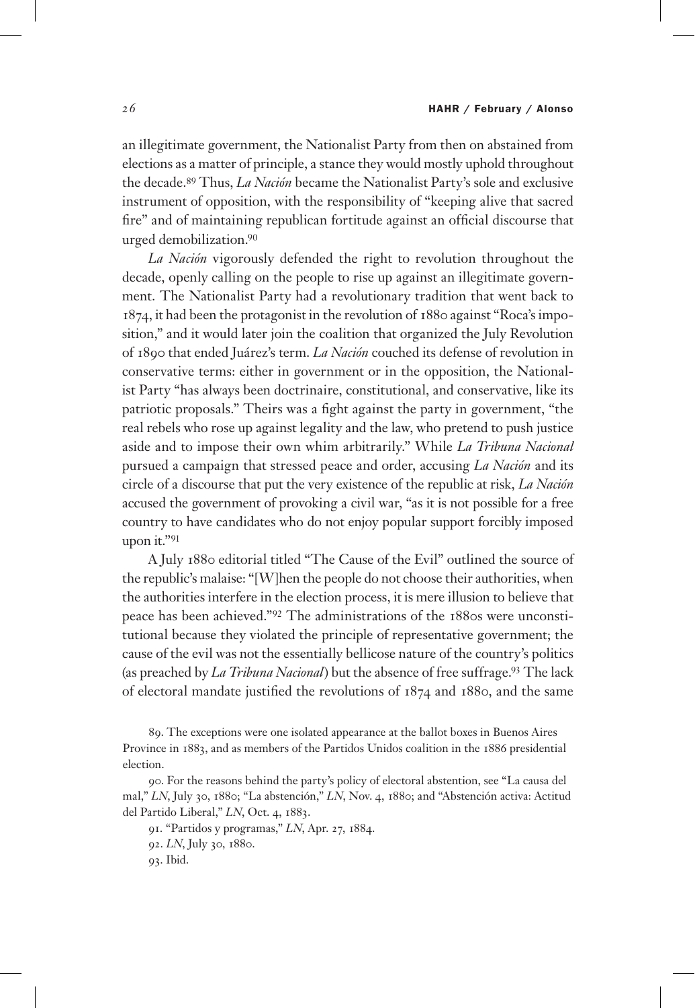an illegitimate government, the Nationalist Party from then on abstained from elections as a matter of principle, a stance they would mostly uphold throughout the decade.89 Thus, *La Nación* became the Nationalist Party's sole and exclusive instrument of opposition, with the responsibility of "keeping alive that sacred fire" and of maintaining republican fortitude against an official discourse that urged demobilization.90

*La Nación* vigorously defended the right to revolution throughout the decade, openly calling on the people to rise up against an illegitimate government. The Nationalist Party had a revolutionary tradition that went back to 1874, it had been the protagonist in the revolution of 1880 against "Roca's imposition," and it would later join the coalition that organized the July Revolution of 1890 that ended Juárez's term. *La Nación* couched its defense of revolution in conservative terms: either in government or in the opposition, the Nationalist Party "has always been doctrinaire, constitutional, and conservative, like its patriotic proposals." Theirs was a fight against the party in government, "the real rebels who rose up against legality and the law, who pretend to push justice aside and to impose their own whim arbitrarily." While *La Tribuna Nacional* pursued a campaign that stressed peace and order, accusing *La Nación* and its circle of a discourse that put the very existence of the republic at risk, *La Nación* accused the government of provoking a civil war, "as it is not possible for a free country to have candidates who do not enjoy popular support forcibly imposed upon it."91

A July 1880 editorial titled "The Cause of the Evil" outlined the source of the republic's malaise: "[W]hen the people do not choose their authorities, when the authorities interfere in the election process, it is mere illusion to believe that peace has been achieved."92 The administrations of the 1880s were unconstitutional because they violated the principle of representative government; the cause of the evil was not the essentially bellicose nature of the country's politics (as preached by *La Tribuna Nacional*) but the absence of free suffrage.93 The lack of electoral mandate justified the revolutions of 1874 and 1880, and the same

89. The exceptions were one isolated appearance at the ballot boxes in Buenos Aires Province in 1883, and as members of the Partidos Unidos coalition in the 1886 presidential election.

90. For the reasons behind the party's policy of electoral abstention, see "La causa del mal," *LN*, July 30, 1880; "La abstención," *LN*, Nov. 4, 1880; and "Abstención activa: Actitud del Partido Liberal," *LN*, Oct. 4, 1883.

91. "Partidos y programas," *LN*, Apr. 27, 1884.

92. *LN*, July 30, 1880.

93. Ibid.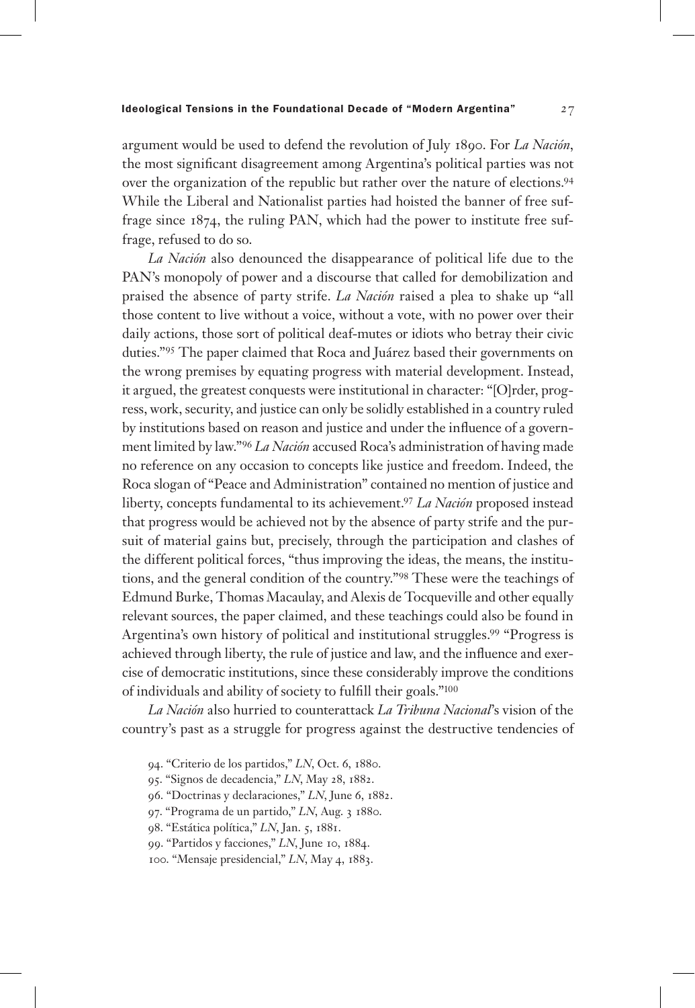argument would be used to defend the revolution of July 1890. For *La Nación*, the most significant disagreement among Argentina's political parties was not over the organization of the republic but rather over the nature of elections.94 While the Liberal and Nationalist parties had hoisted the banner of free suffrage since 1874, the ruling PAN, which had the power to institute free suffrage, refused to do so.

*La Nación* also denounced the disappearance of political life due to the PAN's monopoly of power and a discourse that called for demobilization and praised the absence of party strife. *La Nación* raised a plea to shake up "all those content to live without a voice, without a vote, with no power over their daily actions, those sort of political deaf-mutes or idiots who betray their civic duties."95 The paper claimed that Roca and Juárez based their governments on the wrong premises by equating progress with material development. Instead, it argued, the greatest conquests were institutional in character: "[O]rder, progress, work, security, and justice can only be solidly established in a country ruled by institutions based on reason and justice and under the influence of a government limited by law."96 *La Nación* accused Roca's administration of having made no reference on any occasion to concepts like justice and freedom. Indeed, the Roca slogan of "Peace and Administration" contained no mention of justice and liberty, concepts fundamental to its achievement.97 *La Nación* proposed instead that progress would be achieved not by the absence of party strife and the pursuit of material gains but, precisely, through the participation and clashes of the different political forces, "thus improving the ideas, the means, the institutions, and the general condition of the country."98 These were the teachings of Edmund Burke, Thomas Macaulay, and Alexis de Tocqueville and other equally relevant sources, the paper claimed, and these teachings could also be found in Argentina's own history of political and institutional struggles.99 "Progress is achieved through liberty, the rule of justice and law, and the influence and exercise of democratic institutions, since these considerably improve the conditions of individuals and ability of society to fulfill their goals."100

*La Nación* also hurried to counterattack *La Tribuna Nacional*'s vision of the country's past as a struggle for progress against the destructive tendencies of

- 94. "Criterio de los partidos," *LN*, Oct. 6, 1880.
- 95. "Signos de decadencia," *LN*, May 28, 1882.
- 96. "Doctrinas y declaraciones," *LN*, June 6, 1882.
- 97. "Programa de un partido," *LN*, Aug. 3 1880.
- 98. "Estática política," *LN*, Jan. 5, 1881.
- 99. "Partidos y facciones," *LN*, June 10, 1884.
- 100. "Mensaje presidencial," *LN*, May 4, 1883.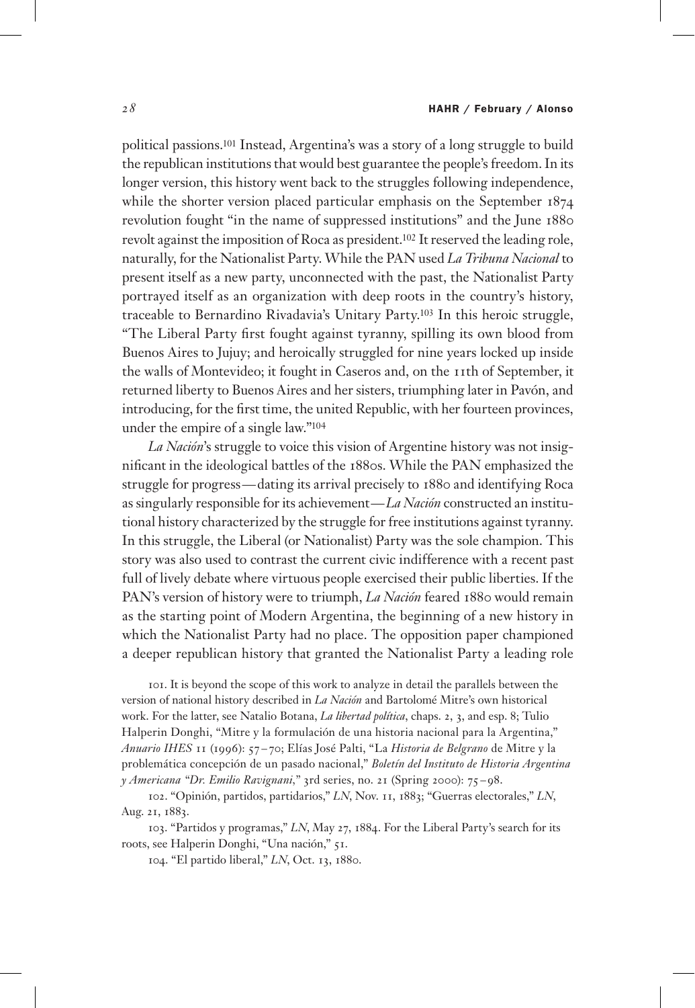political passions.101 Instead, Argentina's was a story of a long struggle to build the republican institutions that would best guarantee the people's freedom. In its longer version, this history went back to the struggles following independence, while the shorter version placed particular emphasis on the September 1874 revolution fought "in the name of suppressed institutions" and the June 1880 revolt against the imposition of Roca as president.102 It reserved the leading role, naturally, for the Nationalist Party. While the PAN used *La Tribuna Nacional* to present itself as a new party, unconnected with the past, the Nationalist Party portrayed itself as an organization with deep roots in the country's history, traceable to Bernardino Rivadavia's Unitary Party.103 In this heroic struggle, "The Liberal Party first fought against tyranny, spilling its own blood from Buenos Aires to Jujuy; and heroically struggled for nine years locked up inside the walls of Montevideo; it fought in Caseros and, on the 11th of September, it returned liberty to Buenos Aires and her sisters, triumphing later in Pavón, and introducing, for the first time, the united Republic, with her fourteen provinces, under the empire of a single law."104

*La Nación*'s struggle to voice this vision of Argentine history was not insignificant in the ideological battles of the 1880s. While the PAN emphasized the struggle for progress—dating its arrival precisely to 1880 and identifying Roca as singularly responsible for its achievement—*La Nación* constructed an institutional history characterized by the struggle for free institutions against tyranny. In this struggle, the Liberal (or Nationalist) Party was the sole champion. This story was also used to contrast the current civic indifference with a recent past full of lively debate where virtuous people exercised their public liberties. If the PAN's version of history were to triumph, *La Nación* feared 1880 would remain as the starting point of Modern Argentina, the beginning of a new history in which the Nationalist Party had no place. The opposition paper championed a deeper republican history that granted the Nationalist Party a leading role

101. It is beyond the scope of this work to analyze in detail the parallels between the version of national history described in *La Nación* and Bartolomé Mitre's own historical work. For the latter, see Natalio Botana, *La libertad política*, chaps. 2, 3, and esp. 8; Tulio Halperin Donghi, "Mitre y la formulación de una historia nacional para la Argentina," *Anuario IHES* 11 (1996): 57–70; Elías José Palti, "La *Historia de Belgrano* de Mitre y la problemática concepción de un pasado nacional," *Boletín del Instituto de Historia Argentina y Americana "Dr. Emilio Ravignani,"* 3rd series, no. 21 (Spring 2000): 75–98.

102. "Opinión, partidos, partidarios," *LN*, Nov. 11, 1883; "Guerras electorales," *LN*, Aug. 21, 1883.

103. "Partidos y programas," *LN*, May 27, 1884. For the Liberal Party's search for its roots, see Halperin Donghi, "Una nación," 51.

104. "El partido liberal," *LN*, Oct. 13, 1880.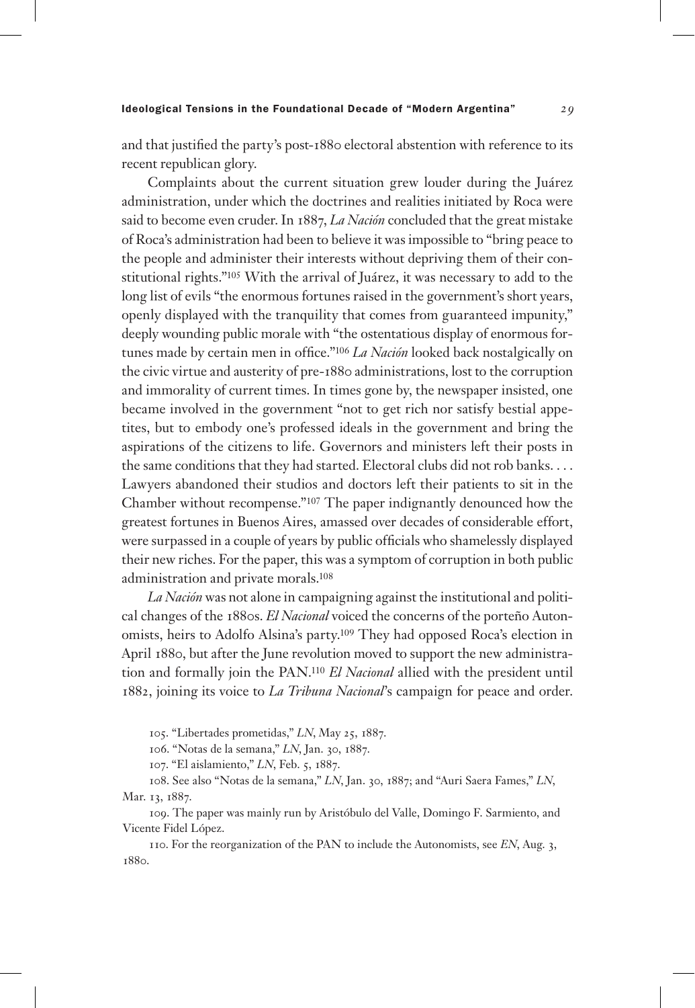and that justified the party's post-1880 electoral abstention with reference to its recent republican glory.

Complaints about the current situation grew louder during the Juárez administration, under which the doctrines and realities initiated by Roca were said to become even cruder. In 1887, *La Nación* concluded that the great mistake of Roca's administration had been to believe it was impossible to "bring peace to the people and administer their interests without depriving them of their constitutional rights."105 With the arrival of Juárez, it was necessary to add to the long list of evils "the enormous fortunes raised in the government's short years, openly displayed with the tranquility that comes from guaranteed impunity," deeply wounding public morale with "the ostentatious display of enormous fortunes made by certain men in office."106 *La Nación* looked back nostalgically on the civic virtue and austerity of pre-1880 administrations, lost to the corruption and immorality of current times. In times gone by, the newspaper insisted, one became involved in the government "not to get rich nor satisfy bestial appetites, but to embody one's professed ideals in the government and bring the aspirations of the citizens to life. Governors and ministers left their posts in the same conditions that they had started. Electoral clubs did not rob banks. . . . Lawyers abandoned their studios and doctors left their patients to sit in the Chamber without recompense."107 The paper indignantly denounced how the greatest fortunes in Buenos Aires, amassed over decades of considerable effort, were surpassed in a couple of years by public officials who shamelessly displayed their new riches. For the paper, this was a symptom of corruption in both public administration and private morals.108

*La Nación* was not alone in campaigning against the institutional and political changes of the 1880s. *El Nacional* voiced the concerns of the porteño Autonomists, heirs to Adolfo Alsina's party.109 They had opposed Roca's election in April 1880, but after the June revolution moved to support the new administration and formally join the PAN.110 *El Nacional* allied with the president until 1882, joining its voice to *La Tribuna Nacional*'s campaign for peace and order.

105. "Libertades prometidas," *LN*, May 25, 1887.

106. "Notas de la semana," *LN*, Jan. 30, 1887.

107. "El aislamiento," *LN*, Feb. 5, 1887.

108. See also "Notas de la semana," *LN*, Jan. 30, 1887; and "Auri Saera Fames," *LN*, Mar. 13, 1887.

109. The paper was mainly run by Aristóbulo del Valle, Domingo F. Sarmiento, and Vicente Fidel López.

110. For the reorganization of the PAN to include the Autonomists, see *EN*, Aug. 3, 1880.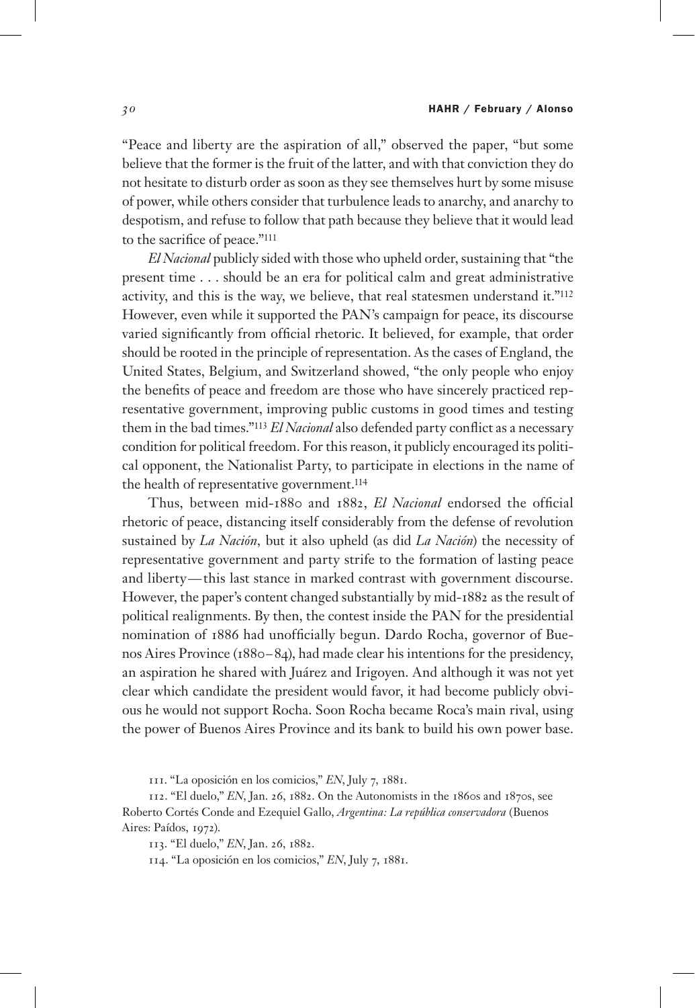#### *30* HAHR / February / Alonso

"Peace and liberty are the aspiration of all," observed the paper, "but some believe that the former is the fruit of the latter, and with that conviction they do not hesitate to disturb order as soon as they see themselves hurt by some misuse of power, while others consider that turbulence leads to anarchy, and anarchy to despotism, and refuse to follow that path because they believe that it would lead to the sacrifice of peace."111

*El Nacional* publicly sided with those who upheld order, sustaining that "the present time . . . should be an era for political calm and great administrative activity, and this is the way, we believe, that real statesmen understand it."112 However, even while it supported the PAN's campaign for peace, its discourse varied significantly from official rhetoric. It believed, for example, that order should be rooted in the principle of representation. As the cases of England, the United States, Belgium, and Switzerland showed, "the only people who enjoy the benefits of peace and freedom are those who have sincerely practiced representative government, improving public customs in good times and testing them in the bad times."113 *El Nacional* also defended party conflict as a necessary condition for political freedom. For this reason, it publicly encouraged its political opponent, the Nationalist Party, to participate in elections in the name of the health of representative government.114

Thus, between mid-1880 and 1882, *El Nacional* endorsed the official rhetoric of peace, distancing itself considerably from the defense of revolution sustained by *La Nación,* but it also upheld (as did *La Nación*) the necessity of representative government and party strife to the formation of lasting peace and liberty—this last stance in marked contrast with government discourse. However, the paper's content changed substantially by mid-1882 as the result of political realignments. By then, the contest inside the PAN for the presidential nomination of 1886 had unofficially begun. Dardo Rocha, governor of Buenos Aires Province (1880–84), had made clear his intentions for the presidency, an aspiration he shared with Juárez and Irigoyen. And although it was not yet clear which candidate the president would favor, it had become publicly obvious he would not support Rocha. Soon Rocha became Roca's main rival, using the power of Buenos Aires Province and its bank to build his own power base.

<sup>111</sup>. "La oposición en los comicios," *EN*, July 7, 1881.

<sup>112</sup>. "El duelo," *EN*, Jan. 26, 1882. On the Autonomists in the 1860s and 1870s, see Roberto Cortés Conde and Ezequiel Gallo, *Argentina: La república conservadora* (Buenos Aires: Paídos, 1972).

<sup>113</sup>. "El duelo," *EN*, Jan. 26, 1882.

<sup>114</sup>. "La oposición en los comicios," *EN*, July 7, 1881.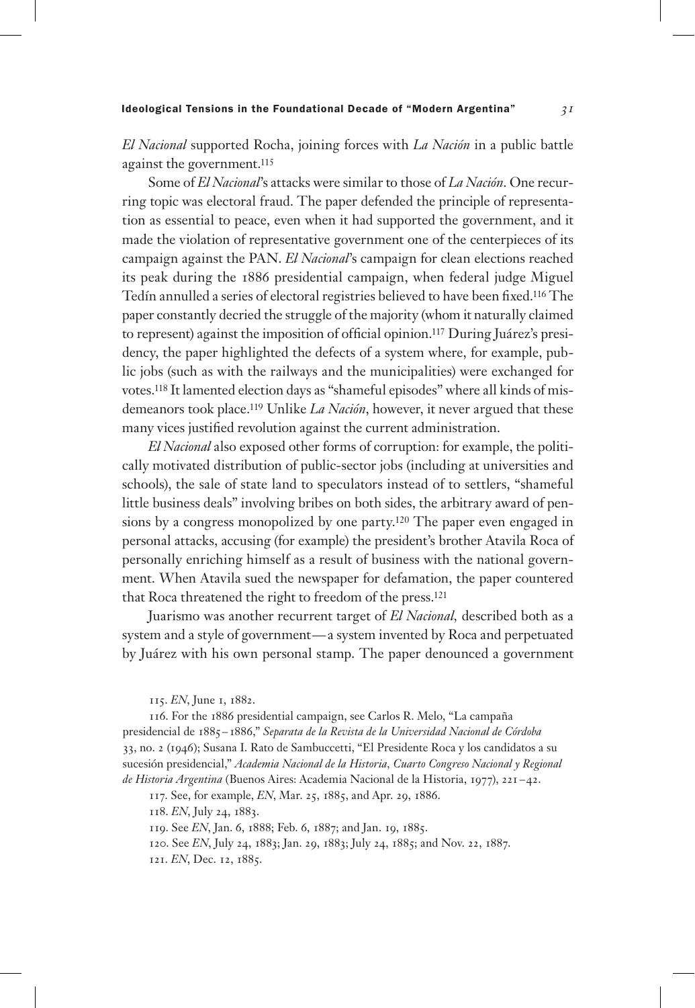*El Nacional* supported Rocha, joining forces with *La Nación* in a public battle against the government.<sup>115</sup>

Some of *El Nacional*'s attacks were similar to those of *La Nación*. One recurring topic was electoral fraud. The paper defended the principle of representation as essential to peace, even when it had supported the government, and it made the violation of representative government one of the centerpieces of its campaign against the PAN. *El Nacional*'s campaign for clean elections reached its peak during the 1886 presidential campaign, when federal judge Miguel Tedín annulled a series of electoral registries believed to have been fixed.116 The paper constantly decried the struggle of the majority (whom it naturally claimed to represent) against the imposition of official opinion.117 During Juárez's presidency, the paper highlighted the defects of a system where, for example, public jobs (such as with the railways and the municipalities) were exchanged for votes.118 It lamented election days as "shameful episodes" where all kinds of misdemeanors took place.119 Unlike *La Nación*, however, it never argued that these many vices justified revolution against the current administration.

*El Nacional* also exposed other forms of corruption: for example, the politically motivated distribution of public-sector jobs (including at universities and schools), the sale of state land to speculators instead of to settlers, "shameful little business deals" involving bribes on both sides, the arbitrary award of pensions by a congress monopolized by one party.120 The paper even engaged in personal attacks, accusing (for example) the president's brother Atavila Roca of personally enriching himself as a result of business with the national government. When Atavila sued the newspaper for defamation, the paper countered that Roca threatened the right to freedom of the press.121

Juarismo was another recurrent target of *El Nacional,* described both as a system and a style of government—a system invented by Roca and perpetuated by Juárez with his own personal stamp. The paper denounced a government

115. *EN*, June 1, 1882.

116. For the 1886 presidential campaign, see Carlos R. Melo, "La campaña presidencial de 1885–1886," *Separata de la Revista de la Universidad Nacional de Córdoba* 33, no. 2 (1946); Susana I. Rato de Sambuccetti, "El Presidente Roca y los candidatos a su sucesión presidencial," *Academia Nacional de la Historia, Cuarto Congreso Nacional y Regional de Historia Argentina* (Buenos Aires: Academia Nacional de la Historia, 1977), 221–42.

117. See, for example, *EN*, Mar. 25, 1885, and Apr. 29, 1886.

118. *EN*, July 24, 1883.

119. See *EN*, Jan. 6, 1888; Feb. 6, 1887; and Jan. 19, 1885.

120. See *EN*, July 24, 1883; Jan. 29, 1883; July 24, 1885; and Nov. 22, 1887.

121. *EN*, Dec. 12, 1885.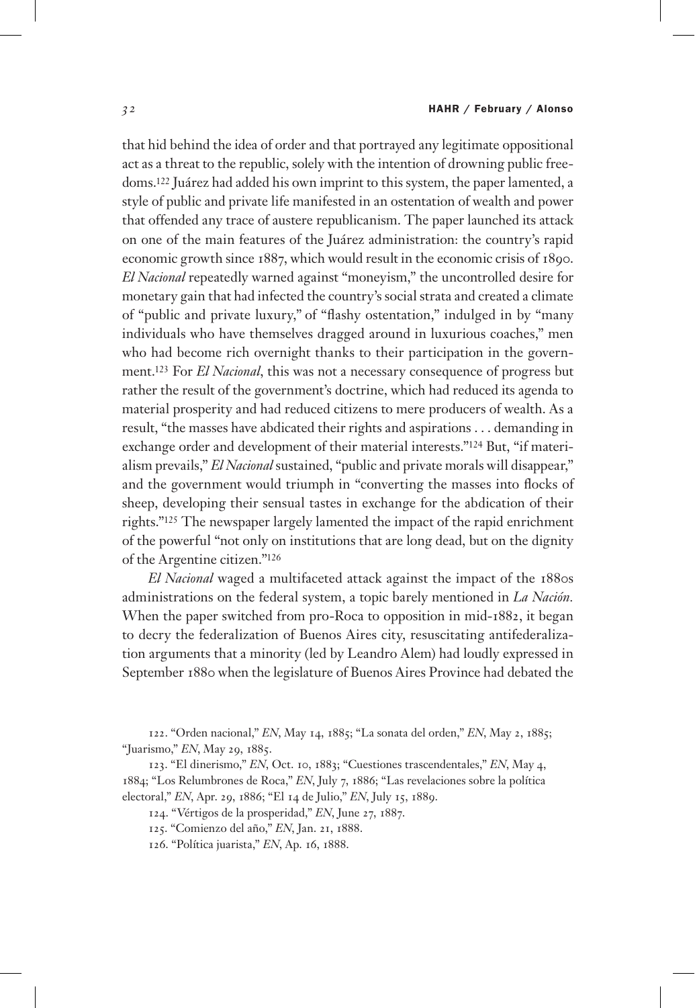that hid behind the idea of order and that portrayed any legitimate oppositional act as a threat to the republic, solely with the intention of drowning public freedoms.122 Juárez had added his own imprint to this system, the paper lamented, a style of public and private life manifested in an ostentation of wealth and power that offended any trace of austere republicanism. The paper launched its attack on one of the main features of the Juárez administration: the country's rapid economic growth since 1887, which would result in the economic crisis of 1890. *El Nacional* repeatedly warned against "moneyism," the uncontrolled desire for monetary gain that had infected the country's social strata and created a climate of "public and private luxury," of "flashy ostentation," indulged in by "many individuals who have themselves dragged around in luxurious coaches," men who had become rich overnight thanks to their participation in the government.123 For *El Nacional*, this was not a necessary consequence of progress but rather the result of the government's doctrine, which had reduced its agenda to material prosperity and had reduced citizens to mere producers of wealth. As a result, "the masses have abdicated their rights and aspirations . . . demanding in exchange order and development of their material interests."124 But, "if materialism prevails," *El Nacional* sustained, "public and private morals will disappear," and the government would triumph in "converting the masses into flocks of sheep, developing their sensual tastes in exchange for the abdication of their rights."125 The newspaper largely lamented the impact of the rapid enrichment of the powerful "not only on institutions that are long dead, but on the dignity of the Argentine citizen."126

*El Nacional* waged a multifaceted attack against the impact of the 1880s administrations on the federal system, a topic barely mentioned in *La Nación.* When the paper switched from pro-Roca to opposition in mid-1882, it began to decry the federalization of Buenos Aires city, resuscitating antifederalization arguments that a minority (led by Leandro Alem) had loudly expressed in September 1880 when the legislature of Buenos Aires Province had debated the

<sup>122</sup>. "Orden nacional," *EN*, May 14, 1885; "La sonata del orden," *EN*, May 2, 1885; "Juarismo," *EN*, May 29, 1885.

<sup>123</sup>. "El dinerismo," *EN*, Oct. 10, 1883; "Cuestiones trascendentales," *EN*, May 4, 1884; "Los Relumbrones de Roca," *EN*, July 7, 1886; "Las revelaciones sobre la política electoral," *EN*, Apr. 29, 1886; "El 14 de Julio," *EN*, July 15, 1889.

<sup>124</sup>. "Vértigos de la prosperidad," *EN*, June 27, 1887.

<sup>125</sup>. "Comienzo del año," *EN*, Jan. 21, 1888.

<sup>126</sup>. "Política juarista," *EN*, Ap. 16, 1888.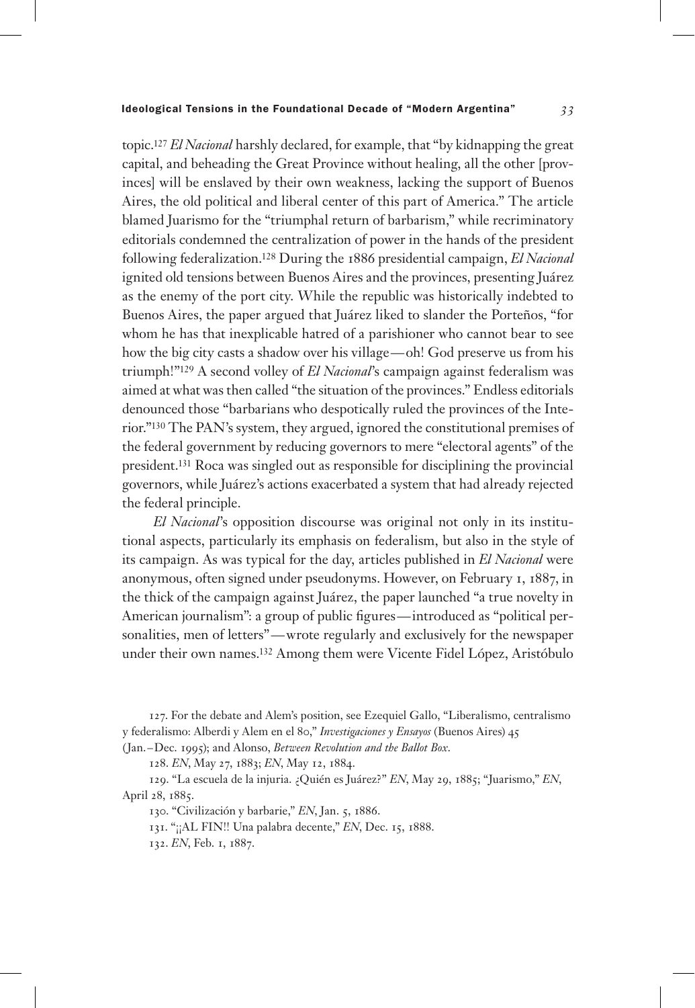topic.127 *El Nacional* harshly declared, for example, that "by kidnapping the great capital, and beheading the Great Province without healing, all the other [provinces] will be enslaved by their own weakness, lacking the support of Buenos Aires, the old political and liberal center of this part of America." The article blamed Juarismo for the "triumphal return of barbarism," while recriminatory editorials condemned the centralization of power in the hands of the president following federalization.128 During the 1886 presidential campaign, *El Nacional* ignited old tensions between Buenos Aires and the provinces, presenting Juárez as the enemy of the port city. While the republic was historically indebted to Buenos Aires, the paper argued that Juárez liked to slander the Porteños, "for whom he has that inexplicable hatred of a parishioner who cannot bear to see how the big city casts a shadow over his village—oh! God preserve us from his triumph!"129 A second volley of *El Nacional*'s campaign against federalism was aimed at what was then called "the situation of the provinces." Endless editorials denounced those "barbarians who despotically ruled the provinces of the Interior."130 The PAN's system, they argued, ignored the constitutional premises of the federal government by reducing governors to mere "electoral agents" of the president.131 Roca was singled out as responsible for disciplining the provincial governors, while Juárez's actions exacerbated a system that had already rejected the federal principle.

*El Nacional*'s opposition discourse was original not only in its institutional aspects, particularly its emphasis on federalism, but also in the style of its campaign. As was typical for the day, articles published in *El Nacional* were anonymous, often signed under pseudonyms. However, on February 1, 1887, in the thick of the campaign against Juárez, the paper launched "a true novelty in American journalism": a group of public figures—introduced as "political personalities, men of letters"—wrote regularly and exclusively for the newspaper under their own names.132 Among them were Vicente Fidel López, Aristóbulo

<sup>127</sup>. For the debate and Alem's position, see Ezequiel Gallo, "Liberalismo, centralismo y federalismo: Alberdi y Alem en el 80," *Investigaciones y Ensayos* (Buenos Aires) 45 (Jan.–Dec. 1995); and Alonso, *Between Revolution and the Ballot Box*.

<sup>128</sup>. *EN*, May 27, 1883; *EN*, May 12, 1884.

<sup>129</sup>. "La escuela de la injuria. ¿Quién es Juárez?" *EN*, May 29, 1885; "Juarismo," *EN*, April 28, 1885.

<sup>130</sup>. "Civilización y barbarie," *EN*, Jan. 5, 1886.

<sup>131</sup>. "¡¡AL FIN!! Una palabra decente," *EN*, Dec. 15, 1888.

<sup>132</sup>. *EN*, Feb. 1, 1887.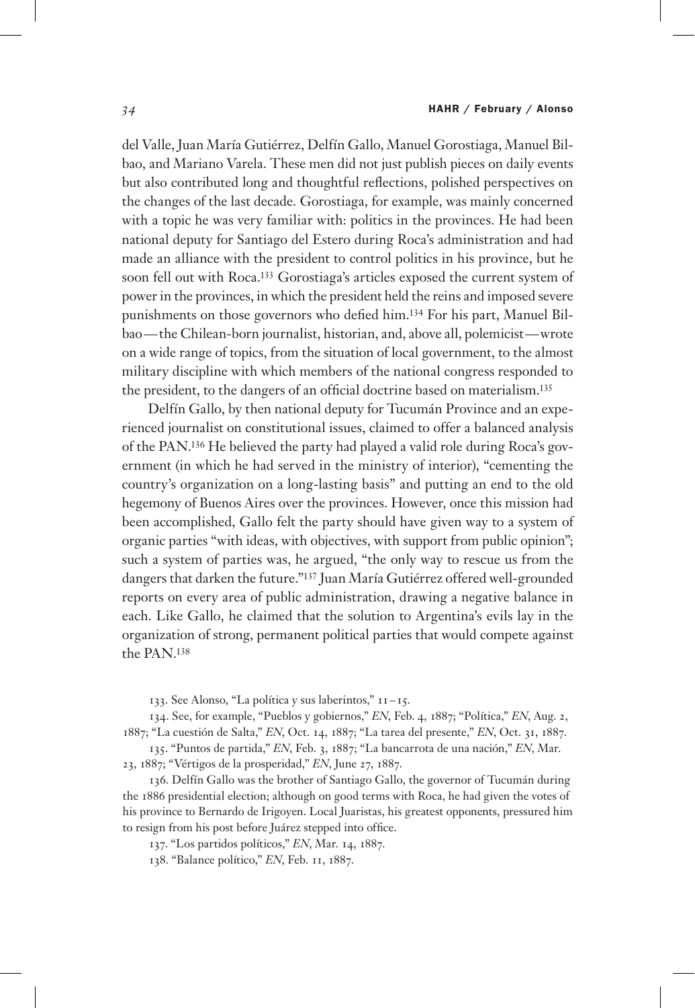del Valle, Juan María Gutiérrez, Delfín Gallo, Manuel Gorostiaga, Manuel Bilbao, and Mariano Varela. These men did not just publish pieces on daily events but also contributed long and thoughtful reflections, polished perspectives on the changes of the last decade. Gorostiaga, for example, was mainly concerned with a topic he was very familiar with: politics in the provinces. He had been national deputy for Santiago del Estero during Roca's administration and had made an alliance with the president to control politics in his province, but he soon fell out with Roca.133 Gorostiaga's articles exposed the current system of power in the provinces, in which the president held the reins and imposed severe punishments on those governors who defied him.134 For his part, Manuel Bilbao—the Chilean-born journalist, historian, and, above all, polemicist—wrote on a wide range of topics, from the situation of local government, to the almost military discipline with which members of the national congress responded to the president, to the dangers of an official doctrine based on materialism.135

Delfín Gallo, by then national deputy for Tucumán Province and an experienced journalist on constitutional issues, claimed to offer a balanced analysis of the PAN.136 He believed the party had played a valid role during Roca's government (in which he had served in the ministry of interior), "cementing the country's organization on a long-lasting basis" and putting an end to the old hegemony of Buenos Aires over the provinces. However, once this mission had been accomplished, Gallo felt the party should have given way to a system of organic parties "with ideas, with objectives, with support from public opinion"; such a system of parties was, he argued, "the only way to rescue us from the dangers that darken the future."137 Juan María Gutiérrez offered well-grounded reports on every area of public administration, drawing a negative balance in each. Like Gallo, he claimed that the solution to Argentina's evils lay in the organization of strong, permanent political parties that would compete against the PAN.138

133. See Alonso, "La política y sus laberintos," 11–15.

134. See, for example, "Pueblos y gobiernos," *EN*, Feb. 4, 1887; "Política," *EN*, Aug. 2, 1887; "La cuestión de Salta," *EN*, Oct. 14, 1887; "La tarea del presente," *EN*, Oct. 31, 1887.

135. "Puntos de partida," *EN*, Feb. 3, 1887; "La bancarrota de una nación," *EN*, Mar. 23, 1887; "Vértigos de la prosperidad," *EN*, June 27, 1887.

136. Delfín Gallo was the brother of Santiago Gallo, the governor of Tucumán during the 1886 presidential election; although on good terms with Roca, he had given the votes of his province to Bernardo de Irigoyen. Local Juaristas, his greatest opponents, pressured him to resign from his post before Juárez stepped into office.

137. "Los partidos políticos," *EN*, Mar. 14, 1887.

138. "Balance político," *EN*, Feb. 11, 1887.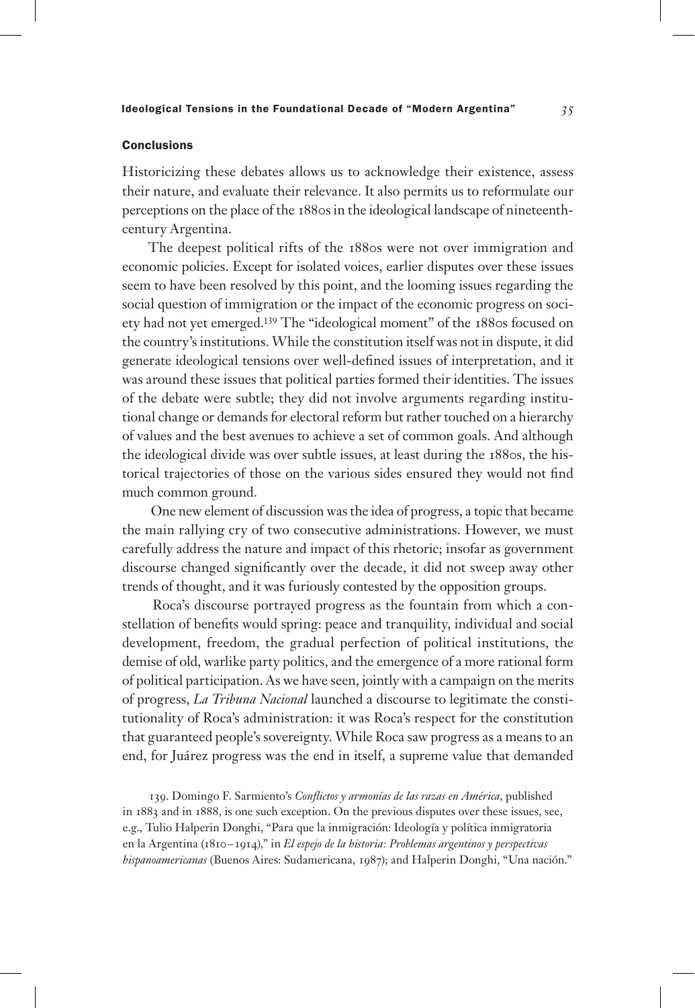#### **Conclusions**

Historicizing these debates allows us to acknowledge their existence, assess their nature, and evaluate their relevance. It also permits us to reformulate our perceptions on the place of the 1880s in the ideological landscape of nineteenthcentury Argentina.

The deepest political rifts of the 1880s were not over immigration and economic policies. Except for isolated voices, earlier disputes over these issues seem to have been resolved by this point, and the looming issues regarding the social question of immigration or the impact of the economic progress on society had not yet emerged.139 The "ideological moment" of the 1880s focused on the country's institutions. While the constitution itself was not in dispute, it did generate ideological tensions over well-defined issues of interpretation, and it was around these issues that political parties formed their identities. The issues of the debate were subtle; they did not involve arguments regarding institutional change or demands for electoral reform but rather touched on a hierarchy of values and the best avenues to achieve a set of common goals. And although the ideological divide was over subtle issues, at least during the 1880s, the historical trajectories of those on the various sides ensured they would not find much common ground.

 One new element of discussion was the idea of progress, a topic that became the main rallying cry of two consecutive administrations. However, we must carefully address the nature and impact of this rhetoric; insofar as government discourse changed significantly over the decade, it did not sweep away other trends of thought, and it was furiously contested by the opposition groups.

 Roca's discourse portrayed progress as the fountain from which a constellation of benefits would spring: peace and tranquility, individual and social development, freedom, the gradual perfection of political institutions, the demise of old, warlike party politics, and the emergence of a more rational form of political participation. As we have seen, jointly with a campaign on the merits of progress, *La Tribuna Nacional* launched a discourse to legitimate the constitutionality of Roca's administration: it was Roca's respect for the constitution that guaranteed people's sovereignty. While Roca saw progress as a means to an end, for Juárez progress was the end in itself, a supreme value that demanded

139. Domingo F. Sarmiento's *Conflictos y armonías de las razas en América*, published in 1883 and in 1888, is one such exception. On the previous disputes over these issues, see, e.g., Tulio Halperin Donghi, "Para que la inmigración: Ideología y política inmigratoria en la Argentina (1810–1914)," in *El espejo de la historia: Problemas argentinos y perspectivas hispanoamericanas* (Buenos Aires: Sudamericana, 1987); and Halperin Donghi, "Una nación."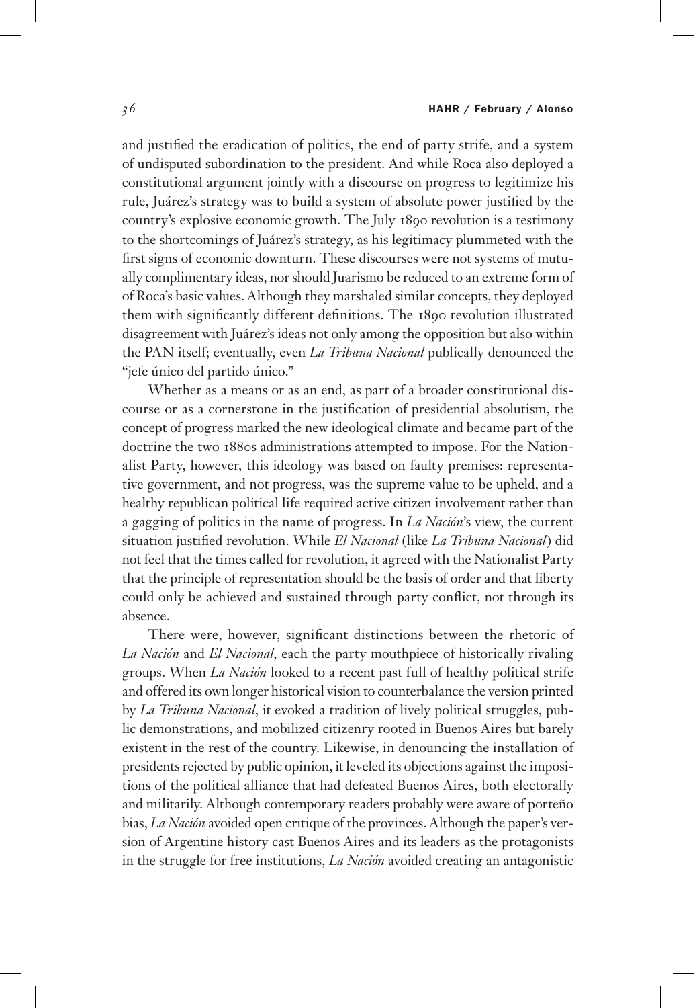and justified the eradication of politics, the end of party strife, and a system of undisputed subordination to the president. And while Roca also deployed a constitutional argument jointly with a discourse on progress to legitimize his rule, Juárez's strategy was to build a system of absolute power justified by the country's explosive economic growth. The July 1890 revolution is a testimony to the shortcomings of Juárez's strategy, as his legitimacy plummeted with the first signs of economic downturn. These discourses were not systems of mutually complimentary ideas, nor should Juarismo be reduced to an extreme form of of Roca's basic values. Although they marshaled similar concepts, they deployed them with significantly different definitions. The 1890 revolution illustrated disagreement with Juárez's ideas not only among the opposition but also within the PAN itself; eventually, even *La Tribuna Nacional* publically denounced the "jefe único del partido único."

Whether as a means or as an end, as part of a broader constitutional discourse or as a cornerstone in the justification of presidential absolutism, the concept of progress marked the new ideological climate and became part of the doctrine the two 1880s administrations attempted to impose. For the Nationalist Party, however, this ideology was based on faulty premises: representative government, and not progress, was the supreme value to be upheld, and a healthy republican political life required active citizen involvement rather than a gagging of politics in the name of progress. In *La Nación*'s view, the current situation justified revolution. While *El Nacional* (like *La Tribuna Nacional*) did not feel that the times called for revolution, it agreed with the Nationalist Party that the principle of representation should be the basis of order and that liberty could only be achieved and sustained through party conflict, not through its absence.

There were, however, significant distinctions between the rhetoric of *La Nación* and *El Nacional*, each the party mouthpiece of historically rivaling groups. When *La Nación* looked to a recent past full of healthy political strife and offered its own longer historical vision to counterbalance the version printed by *La Tribuna Nacional*, it evoked a tradition of lively political struggles, public demonstrations, and mobilized citizenry rooted in Buenos Aires but barely existent in the rest of the country. Likewise, in denouncing the installation of presidents rejected by public opinion, it leveled its objections against the impositions of the political alliance that had defeated Buenos Aires, both electorally and militarily. Although contemporary readers probably were aware of porteño bias, *La Nación* avoided open critique of the provinces. Although the paper's version of Argentine history cast Buenos Aires and its leaders as the protagonists in the struggle for free institutions, *La Nación* avoided creating an antagonistic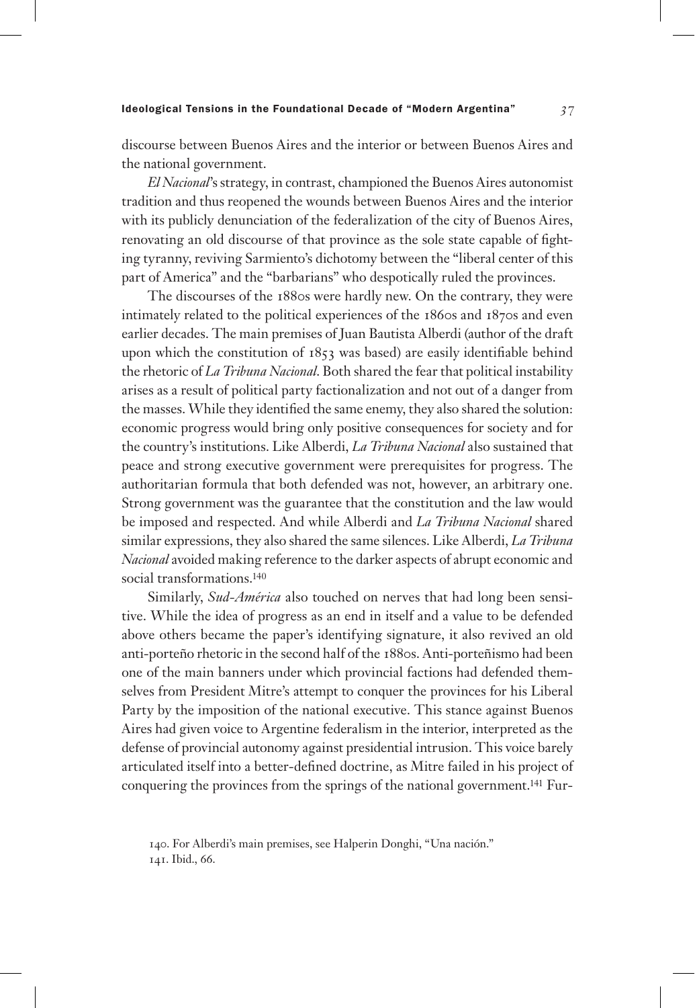discourse between Buenos Aires and the interior or between Buenos Aires and the national government.

*El Nacional*'s strategy, in contrast, championed the Buenos Aires autonomist tradition and thus reopened the wounds between Buenos Aires and the interior with its publicly denunciation of the federalization of the city of Buenos Aires, renovating an old discourse of that province as the sole state capable of fighting tyranny, reviving Sarmiento's dichotomy between the "liberal center of this part of America" and the "barbarians" who despotically ruled the provinces.

The discourses of the 1880s were hardly new. On the contrary, they were intimately related to the political experiences of the 1860s and 1870s and even earlier decades. The main premises of Juan Bautista Alberdi (author of the draft upon which the constitution of 1853 was based) are easily identifiable behind the rhetoric of *La Tribuna Nacional*. Both shared the fear that political instability arises as a result of political party factionalization and not out of a danger from the masses. While they identified the same enemy, they also shared the solution: economic progress would bring only positive consequences for society and for the country's institutions. Like Alberdi, *La Tribuna Nacional* also sustained that peace and strong executive government were prerequisites for progress. The authoritarian formula that both defended was not, however, an arbitrary one. Strong government was the guarantee that the constitution and the law would be imposed and respected. And while Alberdi and *La Tribuna Nacional* shared similar expressions, they also shared the same silences. Like Alberdi, *La Tribuna Nacional* avoided making reference to the darker aspects of abrupt economic and social transformations.<sup>140</sup>

Similarly, *Sud-América* also touched on nerves that had long been sensitive. While the idea of progress as an end in itself and a value to be defended above others became the paper's identifying signature, it also revived an old anti-porteño rhetoric in the second half of the 1880s. Anti-porteñismo had been one of the main banners under which provincial factions had defended themselves from President Mitre's attempt to conquer the provinces for his Liberal Party by the imposition of the national executive. This stance against Buenos Aires had given voice to Argentine federalism in the interior, interpreted as the defense of provincial autonomy against presidential intrusion. This voice barely articulated itself into a better-defined doctrine, as Mitre failed in his project of conquering the provinces from the springs of the national government.141 Fur-

140. For Alberdi's main premises, see Halperin Donghi, "Una nación." 141. Ibid., 66.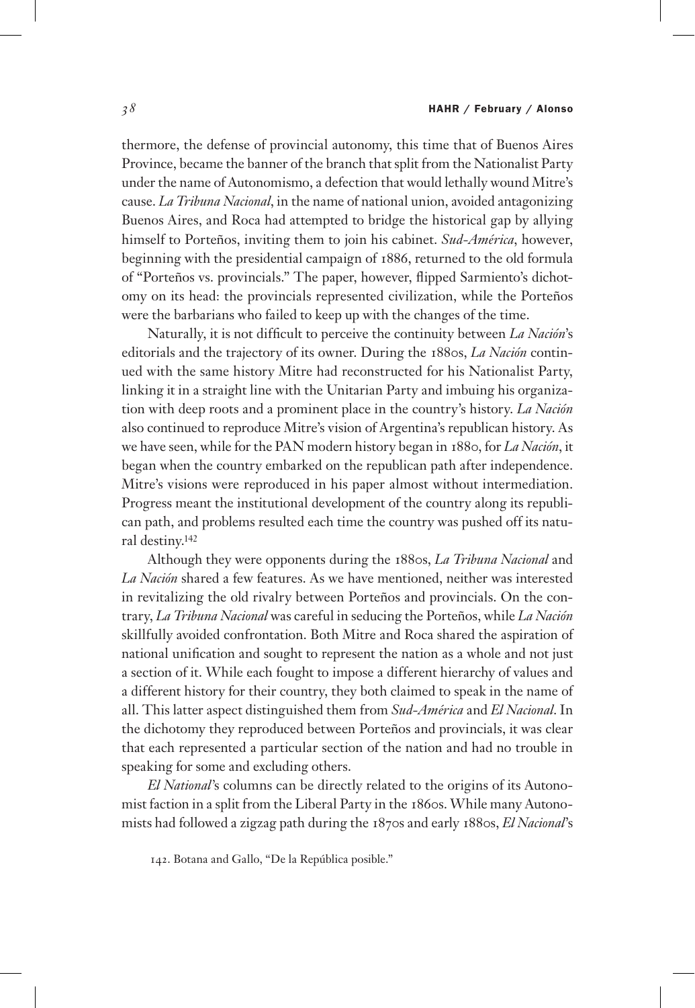# *38* HAHR / February / Alonso

thermore, the defense of provincial autonomy, this time that of Buenos Aires Province, became the banner of the branch that split from the Nationalist Party under the name of Autonomismo, a defection that would lethally wound Mitre's cause. *La Tribuna Nacional*, in the name of national union, avoided antagonizing Buenos Aires, and Roca had attempted to bridge the historical gap by allying himself to Porteños, inviting them to join his cabinet. *Sud-América*, however, beginning with the presidential campaign of 1886, returned to the old formula of "Porteños vs. provincials." The paper, however, flipped Sarmiento's dichotomy on its head: the provincials represented civilization, while the Porteños were the barbarians who failed to keep up with the changes of the time.

Naturally, it is not difficult to perceive the continuity between *La Nación*'s editorials and the trajectory of its owner. During the 1880s, *La Nación* continued with the same history Mitre had reconstructed for his Nationalist Party, linking it in a straight line with the Unitarian Party and imbuing his organization with deep roots and a prominent place in the country's history. *La Nación*  also continued to reproduce Mitre's vision of Argentina's republican history. As we have seen, while for the PAN modern history began in 1880, for *La Nación*, it began when the country embarked on the republican path after independence. Mitre's visions were reproduced in his paper almost without intermediation. Progress meant the institutional development of the country along its republican path, and problems resulted each time the country was pushed off its natural destiny.142

Although they were opponents during the 1880s, *La Tribuna Nacional* and *La Nación* shared a few features. As we have mentioned, neither was interested in revitalizing the old rivalry between Porteños and provincials. On the contrary, *La Tribuna Nacional* was careful in seducing the Porteños, while *La Nación* skillfully avoided confrontation. Both Mitre and Roca shared the aspiration of national unification and sought to represent the nation as a whole and not just a section of it. While each fought to impose a different hierarchy of values and a different history for their country, they both claimed to speak in the name of all. This latter aspect distinguished them from *Sud-América* and *El Nacional*. In the dichotomy they reproduced between Porteños and provincials, it was clear that each represented a particular section of the nation and had no trouble in speaking for some and excluding others.

*El National'*s columns can be directly related to the origins of its Autonomist faction in a split from the Liberal Party in the 1860s. While many Autonomists had followed a zigzag path during the 1870s and early 1880s, *El Nacional*'s

142. Botana and Gallo, "De la República posible."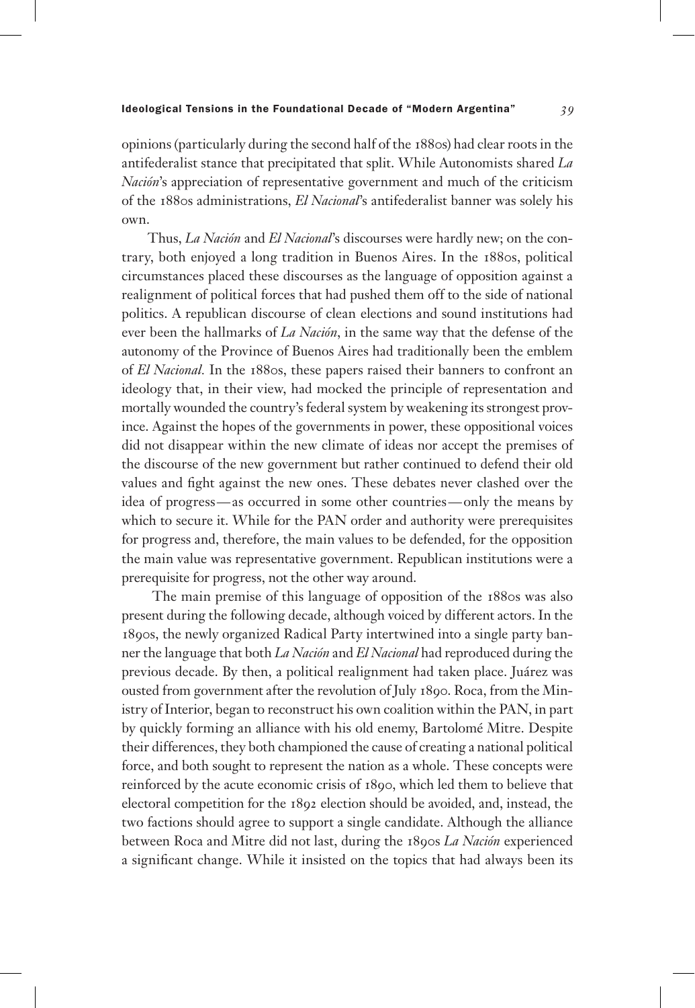opinions (particularly during the second half of the 1880s) had clear roots in the antifederalist stance that precipitated that split. While Autonomists shared *La Nación*'s appreciation of representative government and much of the criticism of the 1880s administrations, *El Nacional*'s antifederalist banner was solely his own.

Thus, *La Nación* and *El Nacional*'s discourses were hardly new; on the contrary, both enjoyed a long tradition in Buenos Aires. In the 1880s, political circumstances placed these discourses as the language of opposition against a realignment of political forces that had pushed them off to the side of national politics. A republican discourse of clean elections and sound institutions had ever been the hallmarks of *La Nación*, in the same way that the defense of the autonomy of the Province of Buenos Aires had traditionally been the emblem of *El Nacional.* In the 1880s, these papers raised their banners to confront an ideology that, in their view, had mocked the principle of representation and mortally wounded the country's federal system by weakening its strongest province. Against the hopes of the governments in power, these oppositional voices did not disappear within the new climate of ideas nor accept the premises of the discourse of the new government but rather continued to defend their old values and fight against the new ones. These debates never clashed over the idea of progress—as occurred in some other countries—only the means by which to secure it. While for the PAN order and authority were prerequisites for progress and, therefore, the main values to be defended, for the opposition the main value was representative government. Republican institutions were a prerequisite for progress, not the other way around.

 The main premise of this language of opposition of the 1880s was also present during the following decade, although voiced by different actors. In the 1890s, the newly organized Radical Party intertwined into a single party banner the language that both *La Nación* and *El Nacional* had reproduced during the previous decade. By then, a political realignment had taken place. Juárez was ousted from government after the revolution of July 1890. Roca, from the Ministry of Interior, began to reconstruct his own coalition within the PAN, in part by quickly forming an alliance with his old enemy, Bartolomé Mitre. Despite their differences, they both championed the cause of creating a national political force, and both sought to represent the nation as a whole. These concepts were reinforced by the acute economic crisis of 1890, which led them to believe that electoral competition for the 1892 election should be avoided, and, instead, the two factions should agree to support a single candidate. Although the alliance between Roca and Mitre did not last, during the 1890s *La Nación* experienced a significant change. While it insisted on the topics that had always been its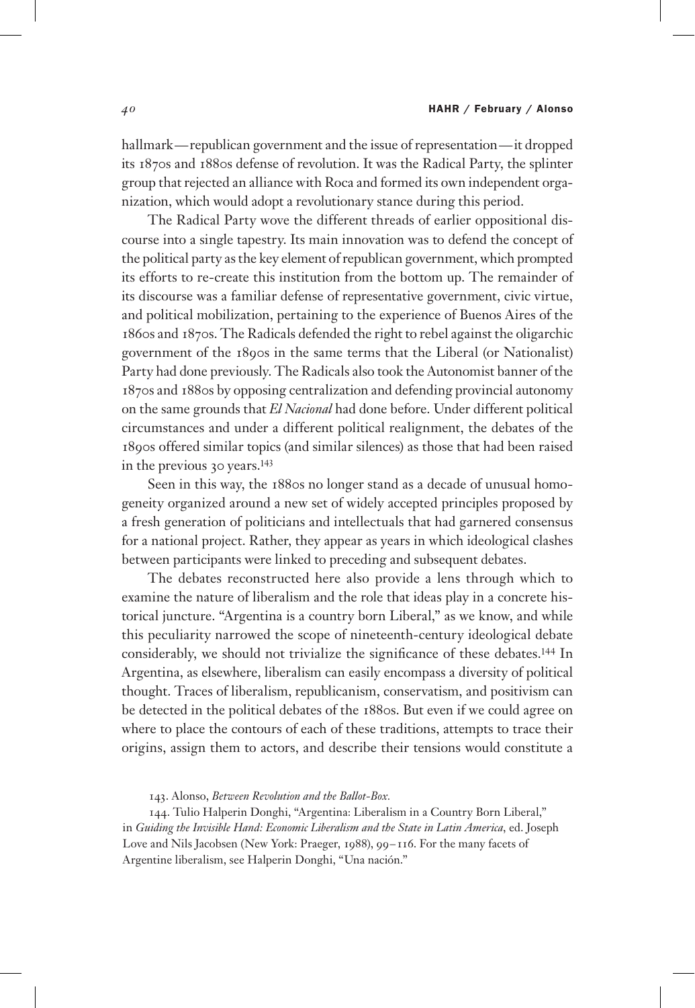hallmark—republican government and the issue of representation—it dropped its 1870s and 1880s defense of revolution. It was the Radical Party, the splinter group that rejected an alliance with Roca and formed its own independent organization, which would adopt a revolutionary stance during this period.

The Radical Party wove the different threads of earlier oppositional discourse into a single tapestry. Its main innovation was to defend the concept of the political party as the key element of republican government, which prompted its efforts to re-create this institution from the bottom up. The remainder of its discourse was a familiar defense of representative government, civic virtue, and political mobilization, pertaining to the experience of Buenos Aires of the 1860s and 1870s. The Radicals defended the right to rebel against the oligarchic government of the 1890s in the same terms that the Liberal (or Nationalist) Party had done previously. The Radicals also took the Autonomist banner of the 1870s and 1880s by opposing centralization and defending provincial autonomy on the same grounds that *El Nacional* had done before. Under different political circumstances and under a different political realignment, the debates of the 1890s offered similar topics (and similar silences) as those that had been raised in the previous 30 years.143

Seen in this way, the 1880s no longer stand as a decade of unusual homogeneity organized around a new set of widely accepted principles proposed by a fresh generation of politicians and intellectuals that had garnered consensus for a national project. Rather, they appear as years in which ideological clashes between participants were linked to preceding and subsequent debates.

The debates reconstructed here also provide a lens through which to examine the nature of liberalism and the role that ideas play in a concrete historical juncture. "Argentina is a country born Liberal," as we know, and while this peculiarity narrowed the scope of nineteenth-century ideological debate considerably, we should not trivialize the significance of these debates.144 In Argentina, as elsewhere, liberalism can easily encompass a diversity of political thought. Traces of liberalism, republicanism, conservatism, and positivism can be detected in the political debates of the 1880s. But even if we could agree on where to place the contours of each of these traditions, attempts to trace their origins, assign them to actors, and describe their tensions would constitute a

<sup>143</sup>. Alonso, *Between Revolution and the Ballot-Box.*

<sup>144</sup>. Tulio Halperin Donghi, "Argentina: Liberalism in a Country Born Liberal," in *Guiding the Invisible Hand: Economic Liberalism and the State in Latin America*, ed. Joseph Love and Nils Jacobsen (New York: Praeger, 1988), 99–116. For the many facets of Argentine liberalism, see Halperin Donghi, "Una nación."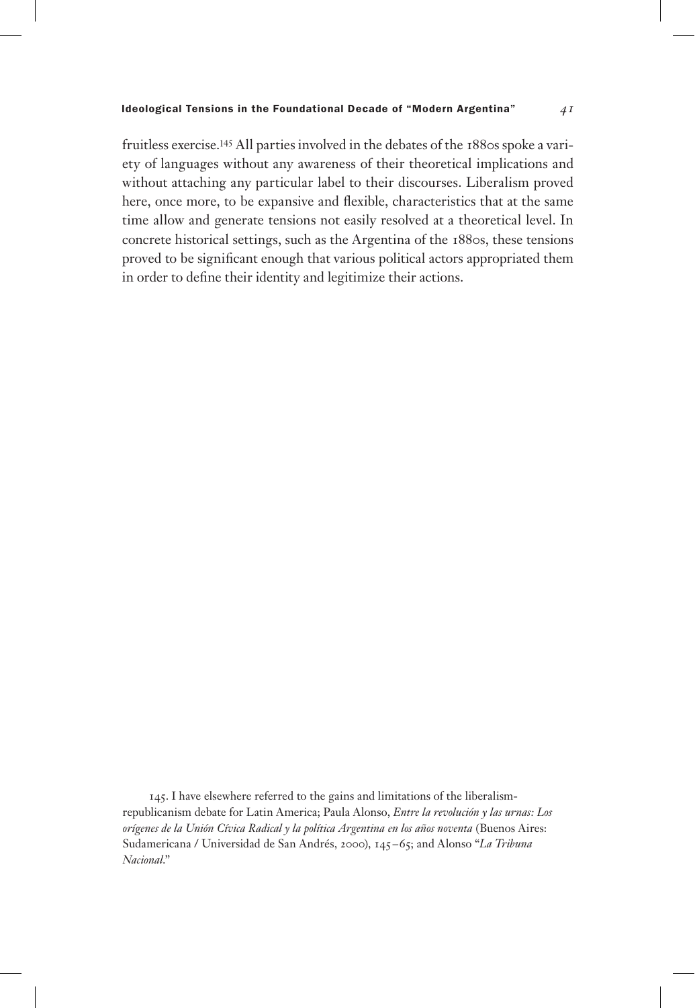fruitless exercise.145 All parties involved in the debates of the 1880s spoke a variety of languages without any awareness of their theoretical implications and without attaching any particular label to their discourses. Liberalism proved here, once more, to be expansive and flexible, characteristics that at the same time allow and generate tensions not easily resolved at a theoretical level. In concrete historical settings, such as the Argentina of the 1880s, these tensions proved to be significant enough that various political actors appropriated them in order to define their identity and legitimize their actions.

145. I have elsewhere referred to the gains and limitations of the liberalismrepublicanism debate for Latin America; Paula Alonso, *Entre la revolución y las urnas: Los orígenes de la Unión Cívica Radical y la política Argentina en los años noventa* (Buenos Aires: Sudamericana / Universidad de San Andrés, 2000), 145–65; and Alonso "*La Tribuna Nacional*."